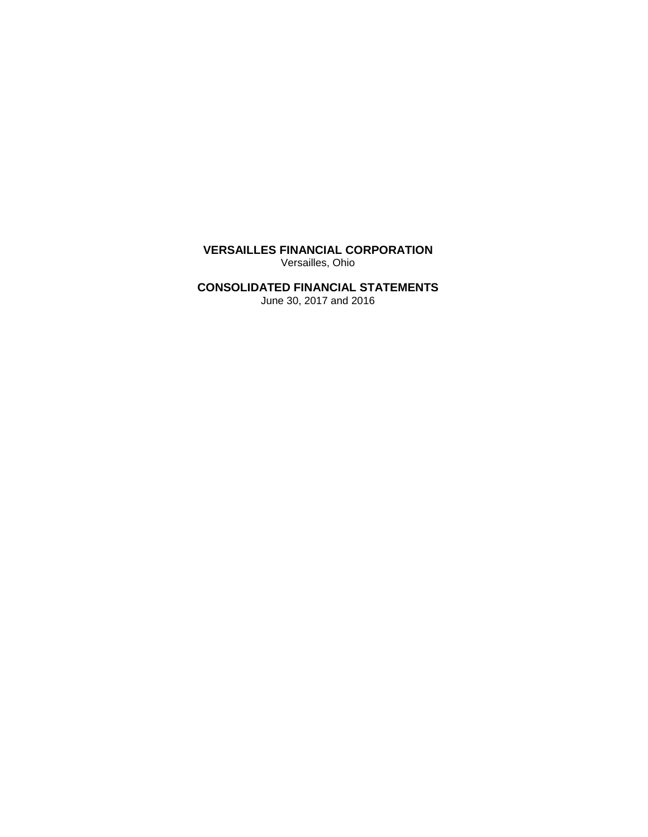**VERSAILLES FINANCIAL CORPORATION** Versailles, Ohio

# **CONSOLIDATED FINANCIAL STATEMENTS**

June 30, 2017 and 2016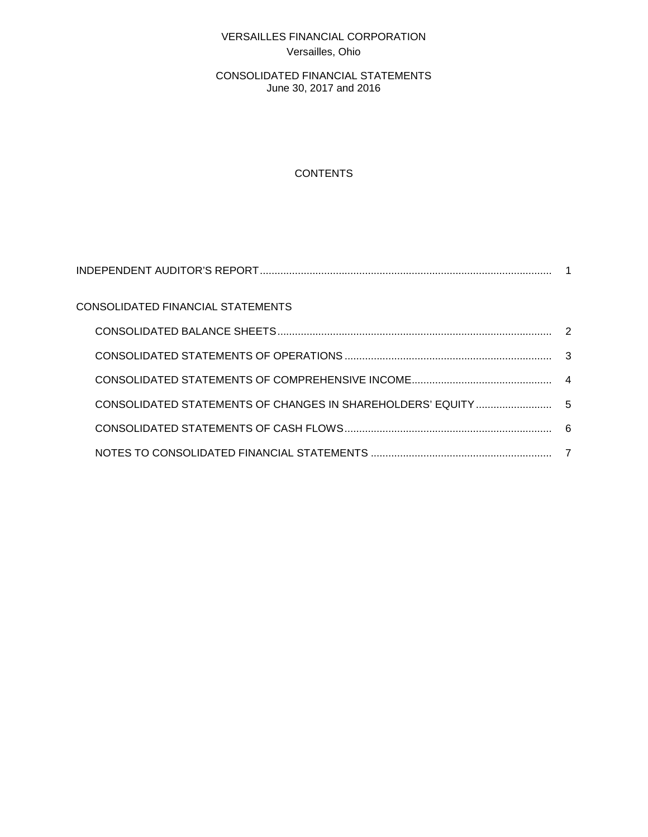# VERSAILLES FINANCIAL CORPORATION Versailles, Ohio

CONSOLIDATED FINANCIAL STATEMENTS June 30, 2017 and 2016

# **CONTENTS**

| CONSOLIDATED FINANCIAL STATEMENTS |  |
|-----------------------------------|--|
|                                   |  |
|                                   |  |
|                                   |  |
|                                   |  |
|                                   |  |
|                                   |  |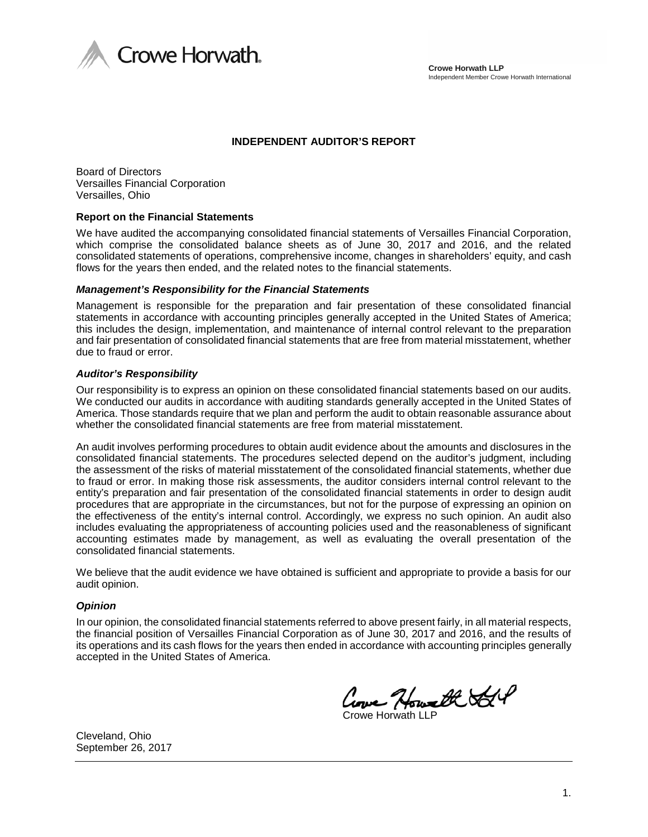

#### **INDEPENDENT AUDITOR'S REPORT**

Board of Directors Versailles Financial Corporation Versailles, Ohio

#### **Report on the Financial Statements**

We have audited the accompanying consolidated financial statements of Versailles Financial Corporation, which comprise the consolidated balance sheets as of June 30, 2017 and 2016, and the related consolidated statements of operations, comprehensive income, changes in shareholders' equity, and cash flows for the years then ended, and the related notes to the financial statements.

#### *Management's Responsibility for the Financial Statements*

Management is responsible for the preparation and fair presentation of these consolidated financial statements in accordance with accounting principles generally accepted in the United States of America; this includes the design, implementation, and maintenance of internal control relevant to the preparation and fair presentation of consolidated financial statements that are free from material misstatement, whether due to fraud or error.

#### *Auditor's Responsibility*

Our responsibility is to express an opinion on these consolidated financial statements based on our audits. We conducted our audits in accordance with auditing standards generally accepted in the United States of America. Those standards require that we plan and perform the audit to obtain reasonable assurance about whether the consolidated financial statements are free from material misstatement.

An audit involves performing procedures to obtain audit evidence about the amounts and disclosures in the consolidated financial statements. The procedures selected depend on the auditor's judgment, including the assessment of the risks of material misstatement of the consolidated financial statements, whether due to fraud or error. In making those risk assessments, the auditor considers internal control relevant to the entity's preparation and fair presentation of the consolidated financial statements in order to design audit procedures that are appropriate in the circumstances, but not for the purpose of expressing an opinion on the effectiveness of the entity's internal control. Accordingly, we express no such opinion. An audit also includes evaluating the appropriateness of accounting policies used and the reasonableness of significant accounting estimates made by management, as well as evaluating the overall presentation of the consolidated financial statements.

We believe that the audit evidence we have obtained is sufficient and appropriate to provide a basis for our audit opinion.

#### *Opinion*

In our opinion, the consolidated financial statements referred to above present fairly, in all material respects, the financial position of Versailles Financial Corporation as of June 30, 2017 and 2016, and the results of its operations and its cash flows for the years then ended in accordance with accounting principles generally accepted in the United States of America.

Crowe Horwath SSP

Cleveland, Ohio September 26, 2017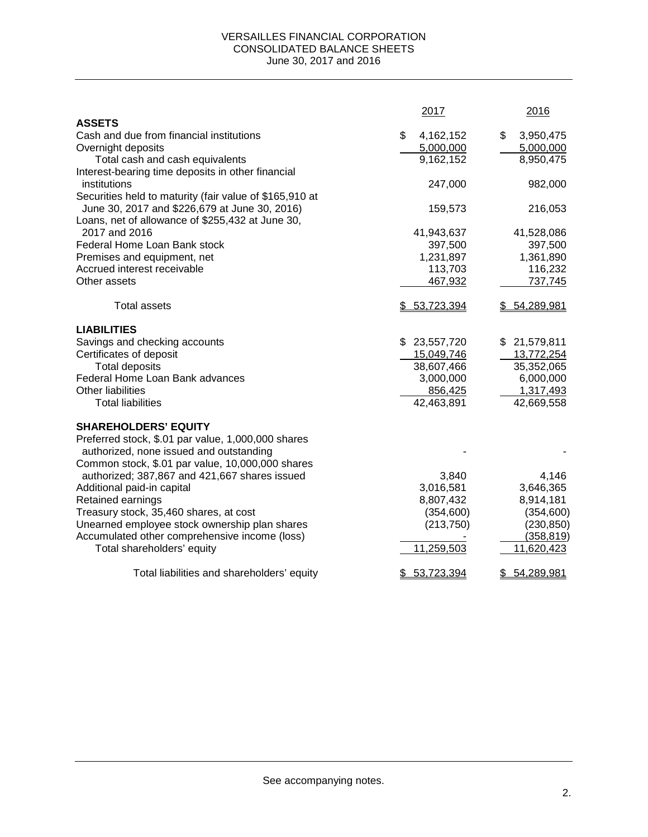#### VERSAILLES FINANCIAL CORPORATION CONSOLIDATED BALANCE SHEETS June 30, 2017 and 2016

|                                                         | 2017             | 2016             |
|---------------------------------------------------------|------------------|------------------|
| <b>ASSETS</b>                                           |                  |                  |
| Cash and due from financial institutions                | \$<br>4,162,152  | \$<br>3,950,475  |
| Overnight deposits                                      | 5,000,000        | 5,000,000        |
| Total cash and cash equivalents                         | 9,162,152        | 8,950,475        |
| Interest-bearing time deposits in other financial       |                  |                  |
| institutions                                            | 247,000          | 982,000          |
| Securities held to maturity (fair value of \$165,910 at |                  |                  |
| June 30, 2017 and \$226,679 at June 30, 2016)           | 159,573          | 216,053          |
| Loans, net of allowance of \$255,432 at June 30,        |                  |                  |
| 2017 and 2016                                           | 41,943,637       | 41,528,086       |
| Federal Home Loan Bank stock                            | 397,500          | 397,500          |
| Premises and equipment, net                             | 1,231,897        | 1,361,890        |
| Accrued interest receivable                             | 113,703          | 116,232          |
| Other assets                                            | 467,932          | 737,745          |
| <b>Total assets</b>                                     | \$53,723,394     | \$54,289,981     |
| <b>LIABILITIES</b>                                      |                  |                  |
| Savings and checking accounts                           | \$23,557,720     | \$21,579,811     |
| Certificates of deposit                                 | 15,049,746       | 13,772,254       |
| <b>Total deposits</b>                                   | 38,607,466       | 35,352,065       |
| Federal Home Loan Bank advances                         | 3,000,000        | 6,000,000        |
| Other liabilities                                       | 856,425          | 1,317,493        |
| <b>Total liabilities</b>                                | 42,463,891       | 42,669,558       |
| <b>SHAREHOLDERS' EQUITY</b>                             |                  |                  |
| Preferred stock, \$.01 par value, 1,000,000 shares      |                  |                  |
| authorized, none issued and outstanding                 |                  |                  |
| Common stock, \$.01 par value, 10,000,000 shares        |                  |                  |
| authorized; 387,867 and 421,667 shares issued           | 3,840            | 4,146            |
| Additional paid-in capital                              | 3,016,581        | 3,646,365        |
| Retained earnings                                       | 8,807,432        | 8,914,181        |
| Treasury stock, 35,460 shares, at cost                  | (354, 600)       | (354, 600)       |
| Unearned employee stock ownership plan shares           | (213, 750)       | (230, 850)       |
| Accumulated other comprehensive income (loss)           |                  | (358, 819)       |
| Total shareholders' equity                              | 11,259,503       | 11,620,423       |
| Total liabilities and shareholders' equity              | 53,723,394<br>S. | 54,289,981<br>\$ |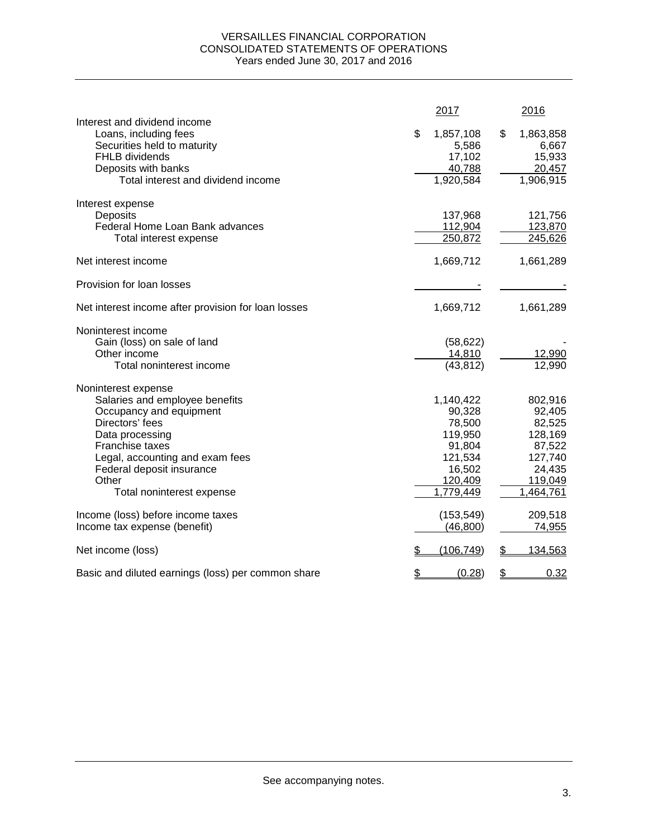### VERSAILLES FINANCIAL CORPORATION CONSOLIDATED STATEMENTS OF OPERATIONS Years ended June 30, 2017 and 2016

|                                                                                                                                                                            |               | 2017                                                | 2016                                                      |
|----------------------------------------------------------------------------------------------------------------------------------------------------------------------------|---------------|-----------------------------------------------------|-----------------------------------------------------------|
| Interest and dividend income<br>Loans, including fees<br>Securities held to maturity<br><b>FHLB</b> dividends<br>Deposits with banks<br>Total interest and dividend income | \$            | 1,857,108<br>5,586<br>17,102<br>40,788<br>1,920,584 | \$<br>1,863,858<br>6,667<br>15,933<br>20,457<br>1,906,915 |
| Interest expense                                                                                                                                                           |               |                                                     |                                                           |
| Deposits                                                                                                                                                                   |               | 137,968                                             | 121,756                                                   |
| Federal Home Loan Bank advances                                                                                                                                            |               | 112,904                                             | 123,870                                                   |
| Total interest expense                                                                                                                                                     |               | 250,872                                             | 245,626                                                   |
| Net interest income                                                                                                                                                        |               | 1,669,712                                           | 1,661,289                                                 |
| Provision for loan losses                                                                                                                                                  |               |                                                     |                                                           |
| Net interest income after provision for loan losses                                                                                                                        |               | 1,669,712                                           | 1,661,289                                                 |
| Noninterest income                                                                                                                                                         |               |                                                     |                                                           |
| Gain (loss) on sale of land                                                                                                                                                |               | (58, 622)                                           |                                                           |
| Other income                                                                                                                                                               |               | 14,810                                              | 12,990                                                    |
| Total noninterest income                                                                                                                                                   |               | (43, 812)                                           | 12,990                                                    |
| Noninterest expense                                                                                                                                                        |               |                                                     |                                                           |
| Salaries and employee benefits                                                                                                                                             |               | 1,140,422                                           | 802,916                                                   |
| Occupancy and equipment                                                                                                                                                    |               | 90,328                                              | 92,405                                                    |
| Directors' fees                                                                                                                                                            |               | 78,500                                              | 82,525                                                    |
| Data processing                                                                                                                                                            |               | 119,950                                             | 128,169                                                   |
| Franchise taxes                                                                                                                                                            |               | 91,804                                              | 87,522                                                    |
| Legal, accounting and exam fees                                                                                                                                            |               | 121,534                                             | 127,740                                                   |
| Federal deposit insurance<br>Other                                                                                                                                         |               | 16,502<br>120,409                                   | 24,435<br>119,049                                         |
| Total noninterest expense                                                                                                                                                  |               | 1,779,449                                           | 1,464,761                                                 |
|                                                                                                                                                                            |               |                                                     |                                                           |
| Income (loss) before income taxes                                                                                                                                          |               | (153, 549)                                          | 209,518                                                   |
| Income tax expense (benefit)                                                                                                                                               |               | (46, 800)                                           | 74,955                                                    |
| Net income (loss)                                                                                                                                                          | S             | (106, 749)                                          | \$<br>134,563                                             |
| Basic and diluted earnings (loss) per common share                                                                                                                         | $\frac{2}{3}$ | (0.28)                                              | \$<br>0.32                                                |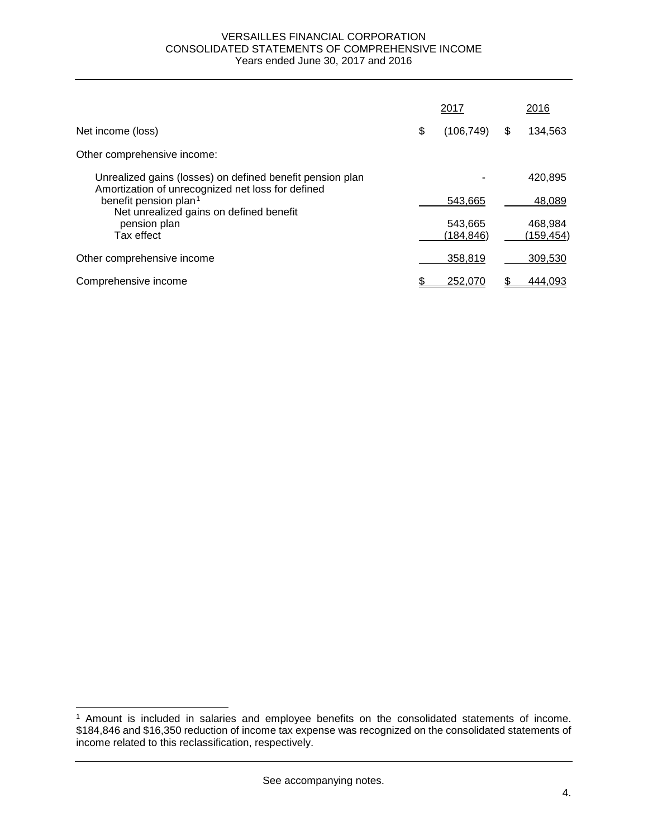#### VERSAILLES FINANCIAL CORPORATION CONSOLIDATED STATEMENTS OF COMPREHENSIVE INCOME Years ended June 30, 2017 and 2016

|                                                                                                                | 2017                 |   | 2016                  |
|----------------------------------------------------------------------------------------------------------------|----------------------|---|-----------------------|
| Net income (loss)                                                                                              | \$<br>(106, 749)     | S | 134,563               |
| Other comprehensive income:                                                                                    |                      |   |                       |
| Unrealized gains (losses) on defined benefit pension plan<br>Amortization of unrecognized net loss for defined |                      |   | 420,895               |
| benefit pension plan <sup>1</sup>                                                                              | 543.665              |   | 48,089                |
| Net unrealized gains on defined benefit<br>pension plan<br>Tax effect                                          | 543,665<br>(184,846) |   | 468,984<br>(159, 454) |
| Other comprehensive income                                                                                     | 358,819              |   | 309,530               |
| Comprehensive income                                                                                           | 252,070              |   | 444,093               |

 $\overline{a}$ 

<span id="page-6-0"></span><sup>1</sup> Amount is included in salaries and employee benefits on the consolidated statements of income. \$184,846 and \$16,350 reduction of income tax expense was recognized on the consolidated statements of income related to this reclassification, respectively.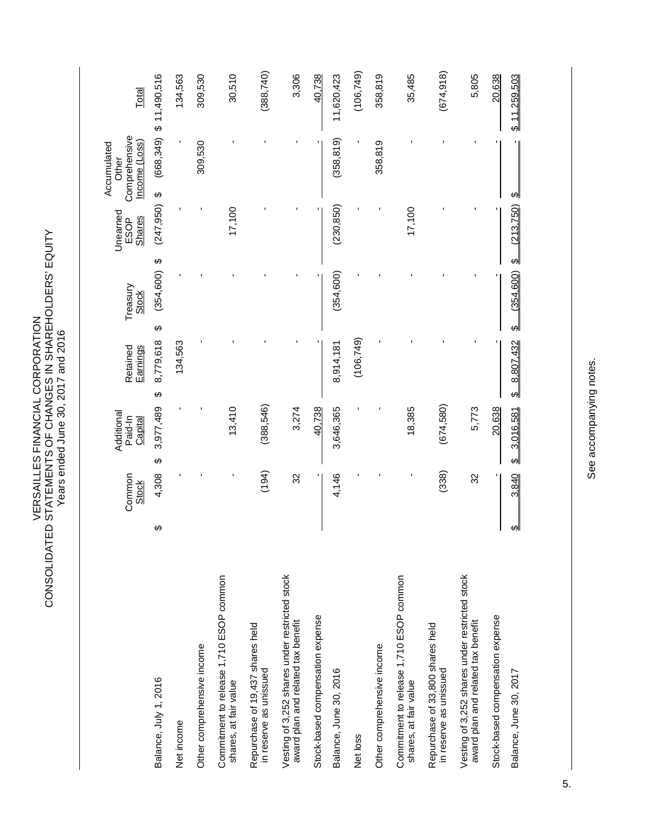VERSAILLES FINANCIAL CORPORATION<br>CONSOLIDATED STATEMENTS OF CHANGES IN SHAREHOLDERS' EQUITY<br>Years ended June 30, 2017 and 2016 CONSOLIDATED STATEMENTS OF CHANGES IN SHAREHOLDERS' EQUITY VERSAILLES FINANCIAL CORPORATION Years ended June 30, 2017 and 2016

|                                                                                      | Common<br><b>Stock</b> |       | Additional<br>Paid-In<br>Capital | Retained<br><b>Earnings</b> | Treasury<br><b>Stock</b>                  | Unearned<br><b>Shares</b><br>ESOP | Comprehensive<br>Income (Loss)<br>Accumulated<br>Other | Total                      |
|--------------------------------------------------------------------------------------|------------------------|-------|----------------------------------|-----------------------------|-------------------------------------------|-----------------------------------|--------------------------------------------------------|----------------------------|
| ക<br>Balance, July 1, 2016                                                           |                        | 4,308 | 3,977,489<br>↮                   | 8,779,618<br>$\Theta$       | $\boldsymbol{\varphi}$<br>(354, 600)<br>↔ | (247, 950)                        | $\theta$                                               | $(668, 349)$ \$ 11,490,516 |
| Net income                                                                           |                        |       |                                  | 134,563                     |                                           |                                   |                                                        | 134,563                    |
| Other comprehensive income                                                           |                        |       |                                  |                             |                                           |                                   | 309,530                                                | 309,530                    |
| Commitment to release 1,710 ESOP common<br>shares, at fair value                     |                        |       | 13,410                           |                             |                                           | 17,100                            |                                                        | 30,510                     |
| Repurchase of 19,437 shares held<br>in reserve as unissued                           |                        | (194) | (388, 546)                       |                             |                                           |                                   |                                                        | (388, 740)                 |
| Vesting of 3,252 shares under restricted stock<br>award plan and related tax benefit |                        | 32    | 3,274                            |                             |                                           |                                   |                                                        | 3,306                      |
| Stock-based compensation expense                                                     |                        |       | 40,738                           |                             |                                           |                                   |                                                        | 40,738                     |
| Balance, June 30, 2016                                                               |                        | 4,146 | 3,646,365                        | 8,914,181                   | (354, 600)                                | (230, 850)                        | (358, 819)                                             | 11,620,423                 |
| Net loss                                                                             |                        |       |                                  | (106, 749)                  |                                           |                                   |                                                        | (106, 749)                 |
| Other comprehensive income                                                           |                        |       |                                  |                             |                                           |                                   | 358,819                                                | 358,819                    |
| Commitment to release 1,710 ESOP common<br>shares, at fair value                     |                        |       | 18,385                           |                             |                                           | 17,100                            |                                                        | 35,485                     |
| Repurchase of 33,800 shares held<br>in reserve as unissued                           |                        | (338) | (674,580)                        |                             |                                           |                                   |                                                        | (674, 918)                 |
| Vesting of 3,252 shares under restricted stock<br>award plan and related tax benefit |                        | 32    | 5,773                            |                             |                                           |                                   |                                                        | 5,805                      |
| Stock-based compensation expense                                                     |                        |       | 20,638                           |                             |                                           |                                   |                                                        | 20,638                     |
| ↔<br>Balance, June 30, 2017                                                          |                        | 3,840 | 3,016,581<br>ക                   | 8,807,432<br>ക              | ക<br>(354, 600)<br>ക                      | (213, 750)                        | ക                                                      | \$11,259,503               |

See accompanying notes. See accompanying notes.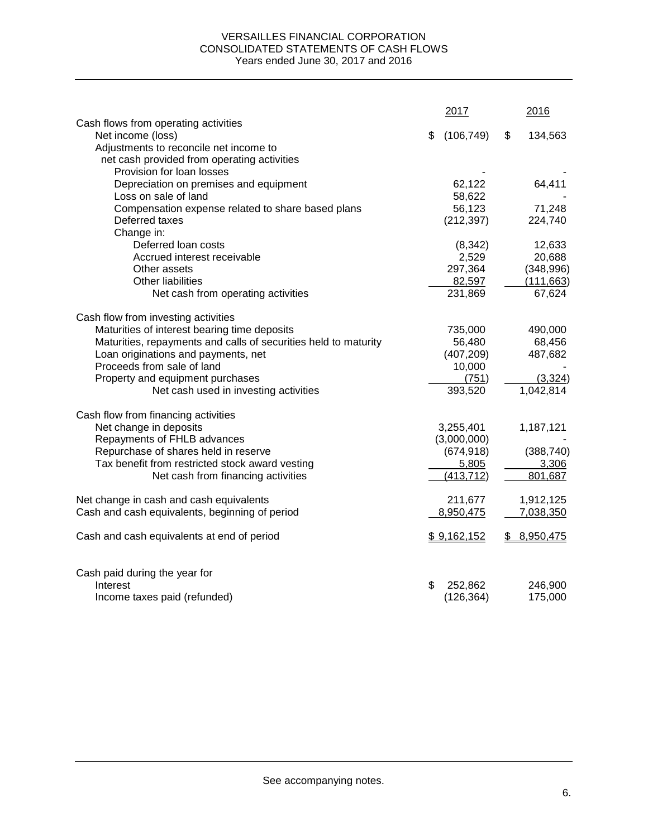### VERSAILLES FINANCIAL CORPORATION CONSOLIDATED STATEMENTS OF CASH FLOWS Years ended June 30, 2017 and 2016

|                                                                 | 2017             |    | 2016       |
|-----------------------------------------------------------------|------------------|----|------------|
| Cash flows from operating activities<br>Net income (loss)       | \$<br>(106, 749) | \$ | 134,563    |
| Adjustments to reconcile net income to                          |                  |    |            |
| net cash provided from operating activities                     |                  |    |            |
| Provision for loan losses                                       |                  |    |            |
| Depreciation on premises and equipment                          | 62,122           |    | 64,411     |
| Loss on sale of land                                            | 58,622           |    |            |
| Compensation expense related to share based plans               | 56,123           |    | 71,248     |
| Deferred taxes                                                  | (212, 397)       |    | 224,740    |
| Change in:                                                      |                  |    |            |
| Deferred loan costs                                             | (8, 342)         |    | 12,633     |
| Accrued interest receivable                                     | 2,529            |    | 20,688     |
| Other assets                                                    | 297,364          |    | (348,996)  |
| <b>Other liabilities</b>                                        | 82,597           |    | (111, 663) |
| Net cash from operating activities                              | 231,869          |    | 67,624     |
|                                                                 |                  |    |            |
| Cash flow from investing activities                             |                  |    |            |
| Maturities of interest bearing time deposits                    | 735,000          |    | 490,000    |
| Maturities, repayments and calls of securities held to maturity | 56,480           |    | 68,456     |
| Loan originations and payments, net                             | (407, 209)       |    | 487,682    |
| Proceeds from sale of land                                      | 10,000           |    |            |
| Property and equipment purchases                                | (751)            |    | (3,324)    |
| Net cash used in investing activities                           | 393,520          |    | 1,042,814  |
| Cash flow from financing activities                             |                  |    |            |
| Net change in deposits                                          | 3,255,401        |    | 1,187,121  |
| Repayments of FHLB advances                                     | (3,000,000)      |    |            |
| Repurchase of shares held in reserve                            | (674, 918)       |    | (388, 740) |
| Tax benefit from restricted stock award vesting                 | 5,805            |    | 3,306      |
| Net cash from financing activities                              | (413, 712)       |    | 801,687    |
| Net change in cash and cash equivalents                         | 211,677          |    | 1,912,125  |
| Cash and cash equivalents, beginning of period                  | 8,950,475        |    | 7,038,350  |
|                                                                 |                  |    |            |
| Cash and cash equivalents at end of period                      | \$9,162,152      | S. | 8,950,475  |
| Cash paid during the year for                                   |                  |    |            |
| Interest                                                        | \$<br>252,862    |    | 246,900    |
| Income taxes paid (refunded)                                    | (126, 364)       |    | 175,000    |
|                                                                 |                  |    |            |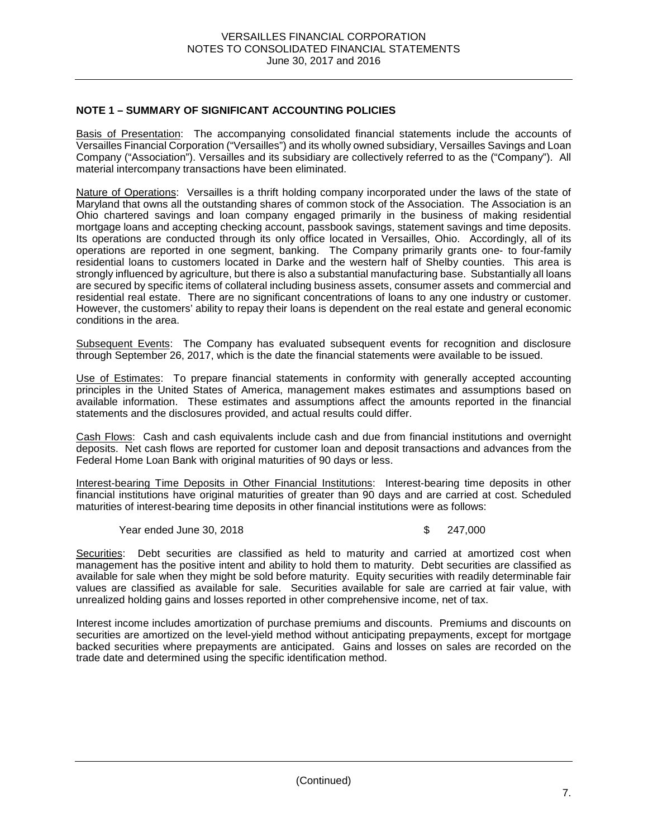### **NOTE 1 – SUMMARY OF SIGNIFICANT ACCOUNTING POLICIES**

Basis of Presentation: The accompanying consolidated financial statements include the accounts of Versailles Financial Corporation ("Versailles") and its wholly owned subsidiary, Versailles Savings and Loan Company ("Association"). Versailles and its subsidiary are collectively referred to as the ("Company"). All material intercompany transactions have been eliminated.

Nature of Operations: Versailles is a thrift holding company incorporated under the laws of the state of Maryland that owns all the outstanding shares of common stock of the Association. The Association is an Ohio chartered savings and loan company engaged primarily in the business of making residential mortgage loans and accepting checking account, passbook savings, statement savings and time deposits. Its operations are conducted through its only office located in Versailles, Ohio. Accordingly, all of its operations are reported in one segment, banking. The Company primarily grants one- to four-family residential loans to customers located in Darke and the western half of Shelby counties. This area is strongly influenced by agriculture, but there is also a substantial manufacturing base. Substantially all loans are secured by specific items of collateral including business assets, consumer assets and commercial and residential real estate. There are no significant concentrations of loans to any one industry or customer. However, the customers' ability to repay their loans is dependent on the real estate and general economic conditions in the area.

Subsequent Events: The Company has evaluated subsequent events for recognition and disclosure through September 26, 2017, which is the date the financial statements were available to be issued.

Use of Estimates: To prepare financial statements in conformity with generally accepted accounting principles in the United States of America, management makes estimates and assumptions based on available information. These estimates and assumptions affect the amounts reported in the financial statements and the disclosures provided, and actual results could differ.

Cash Flows: Cash and cash equivalents include cash and due from financial institutions and overnight deposits. Net cash flows are reported for customer loan and deposit transactions and advances from the Federal Home Loan Bank with original maturities of 90 days or less.

Interest-bearing Time Deposits in Other Financial Institutions: Interest-bearing time deposits in other financial institutions have original maturities of greater than 90 days and are carried at cost. Scheduled maturities of interest-bearing time deposits in other financial institutions were as follows:

Year ended June 30, 2018 **\$ 247,000** 

Securities: Debt securities are classified as held to maturity and carried at amortized cost when management has the positive intent and ability to hold them to maturity. Debt securities are classified as available for sale when they might be sold before maturity. Equity securities with readily determinable fair values are classified as available for sale. Securities available for sale are carried at fair value, with unrealized holding gains and losses reported in other comprehensive income, net of tax.

Interest income includes amortization of purchase premiums and discounts. Premiums and discounts on securities are amortized on the level-yield method without anticipating prepayments, except for mortgage backed securities where prepayments are anticipated. Gains and losses on sales are recorded on the trade date and determined using the specific identification method.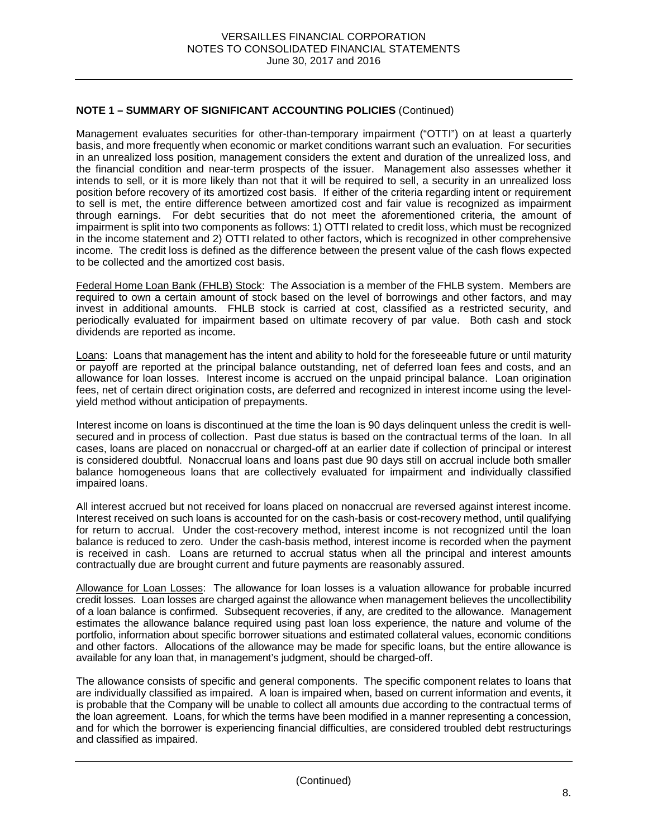Management evaluates securities for other-than-temporary impairment ("OTTI") on at least a quarterly basis, and more frequently when economic or market conditions warrant such an evaluation. For securities in an unrealized loss position, management considers the extent and duration of the unrealized loss, and the financial condition and near-term prospects of the issuer. Management also assesses whether it intends to sell, or it is more likely than not that it will be required to sell, a security in an unrealized loss position before recovery of its amortized cost basis. If either of the criteria regarding intent or requirement to sell is met, the entire difference between amortized cost and fair value is recognized as impairment through earnings. For debt securities that do not meet the aforementioned criteria, the amount of impairment is split into two components as follows: 1) OTTI related to credit loss, which must be recognized in the income statement and 2) OTTI related to other factors, which is recognized in other comprehensive income. The credit loss is defined as the difference between the present value of the cash flows expected to be collected and the amortized cost basis.

Federal Home Loan Bank (FHLB) Stock: The Association is a member of the FHLB system. Members are required to own a certain amount of stock based on the level of borrowings and other factors, and may invest in additional amounts. FHLB stock is carried at cost, classified as a restricted security, and periodically evaluated for impairment based on ultimate recovery of par value. Both cash and stock dividends are reported as income.

Loans: Loans that management has the intent and ability to hold for the foreseeable future or until maturity or payoff are reported at the principal balance outstanding, net of deferred loan fees and costs, and an allowance for loan losses. Interest income is accrued on the unpaid principal balance. Loan origination fees, net of certain direct origination costs, are deferred and recognized in interest income using the levelyield method without anticipation of prepayments.

Interest income on loans is discontinued at the time the loan is 90 days delinquent unless the credit is wellsecured and in process of collection. Past due status is based on the contractual terms of the loan. In all cases, loans are placed on nonaccrual or charged-off at an earlier date if collection of principal or interest is considered doubtful. Nonaccrual loans and loans past due 90 days still on accrual include both smaller balance homogeneous loans that are collectively evaluated for impairment and individually classified impaired loans.

All interest accrued but not received for loans placed on nonaccrual are reversed against interest income. Interest received on such loans is accounted for on the cash-basis or cost-recovery method, until qualifying for return to accrual. Under the cost-recovery method, interest income is not recognized until the loan balance is reduced to zero. Under the cash-basis method, interest income is recorded when the payment is received in cash. Loans are returned to accrual status when all the principal and interest amounts contractually due are brought current and future payments are reasonably assured.

Allowance for Loan Losses: The allowance for loan losses is a valuation allowance for probable incurred credit losses. Loan losses are charged against the allowance when management believes the uncollectibility of a loan balance is confirmed. Subsequent recoveries, if any, are credited to the allowance. Management estimates the allowance balance required using past loan loss experience, the nature and volume of the portfolio, information about specific borrower situations and estimated collateral values, economic conditions and other factors. Allocations of the allowance may be made for specific loans, but the entire allowance is available for any loan that, in management's judgment, should be charged-off.

The allowance consists of specific and general components. The specific component relates to loans that are individually classified as impaired. A loan is impaired when, based on current information and events, it is probable that the Company will be unable to collect all amounts due according to the contractual terms of the loan agreement. Loans, for which the terms have been modified in a manner representing a concession, and for which the borrower is experiencing financial difficulties, are considered troubled debt restructurings and classified as impaired.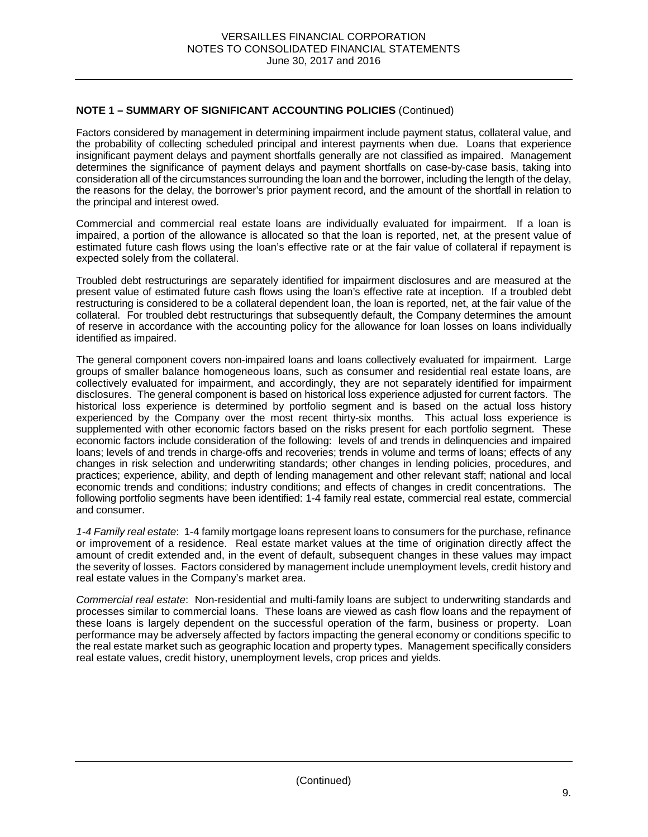Factors considered by management in determining impairment include payment status, collateral value, and the probability of collecting scheduled principal and interest payments when due. Loans that experience insignificant payment delays and payment shortfalls generally are not classified as impaired. Management determines the significance of payment delays and payment shortfalls on case-by-case basis, taking into consideration all of the circumstances surrounding the loan and the borrower, including the length of the delay, the reasons for the delay, the borrower's prior payment record, and the amount of the shortfall in relation to the principal and interest owed.

Commercial and commercial real estate loans are individually evaluated for impairment. If a loan is impaired, a portion of the allowance is allocated so that the loan is reported, net, at the present value of estimated future cash flows using the loan's effective rate or at the fair value of collateral if repayment is expected solely from the collateral.

Troubled debt restructurings are separately identified for impairment disclosures and are measured at the present value of estimated future cash flows using the loan's effective rate at inception. If a troubled debt restructuring is considered to be a collateral dependent loan, the loan is reported, net, at the fair value of the collateral. For troubled debt restructurings that subsequently default, the Company determines the amount of reserve in accordance with the accounting policy for the allowance for loan losses on loans individually identified as impaired.

The general component covers non-impaired loans and loans collectively evaluated for impairment. Large groups of smaller balance homogeneous loans, such as consumer and residential real estate loans, are collectively evaluated for impairment, and accordingly, they are not separately identified for impairment disclosures. The general component is based on historical loss experience adjusted for current factors. The historical loss experience is determined by portfolio segment and is based on the actual loss history experienced by the Company over the most recent thirty-six months. This actual loss experience is supplemented with other economic factors based on the risks present for each portfolio segment. These economic factors include consideration of the following: levels of and trends in delinquencies and impaired loans; levels of and trends in charge-offs and recoveries; trends in volume and terms of loans; effects of any changes in risk selection and underwriting standards; other changes in lending policies, procedures, and practices; experience, ability, and depth of lending management and other relevant staff; national and local economic trends and conditions; industry conditions; and effects of changes in credit concentrations. The following portfolio segments have been identified: 1-4 family real estate, commercial real estate, commercial and consumer.

*1-4 Family real estate*:1-4 family mortgage loans represent loans to consumers for the purchase, refinance or improvement of a residence. Real estate market values at the time of origination directly affect the amount of credit extended and, in the event of default, subsequent changes in these values may impact the severity of losses. Factors considered by management include unemployment levels, credit history and real estate values in the Company's market area.

*Commercial real estate*:Non-residential and multi-family loans are subject to underwriting standards and processes similar to commercial loans. These loans are viewed as cash flow loans and the repayment of these loans is largely dependent on the successful operation of the farm, business or property. Loan performance may be adversely affected by factors impacting the general economy or conditions specific to the real estate market such as geographic location and property types. Management specifically considers real estate values, credit history, unemployment levels, crop prices and yields.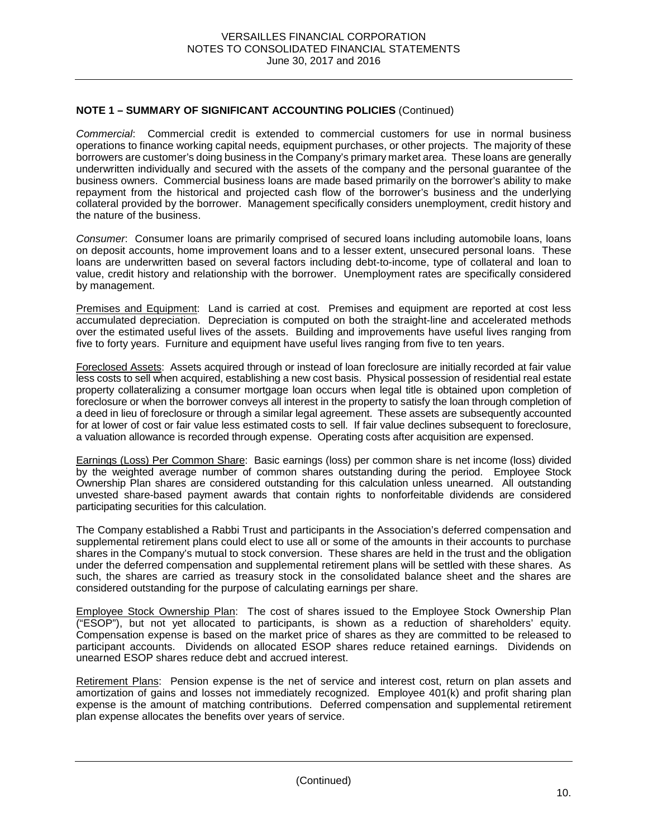*Commercial*: Commercial credit is extended to commercial customers for use in normal business operations to finance working capital needs, equipment purchases, or other projects. The majority of these borrowers are customer's doing business in the Company's primary market area. These loans are generally underwritten individually and secured with the assets of the company and the personal guarantee of the business owners. Commercial business loans are made based primarily on the borrower's ability to make repayment from the historical and projected cash flow of the borrower's business and the underlying collateral provided by the borrower. Management specifically considers unemployment, credit history and the nature of the business.

*Consumer*: Consumer loans are primarily comprised of secured loans including automobile loans, loans on deposit accounts, home improvement loans and to a lesser extent, unsecured personal loans. These loans are underwritten based on several factors including debt-to-income, type of collateral and loan to value, credit history and relationship with the borrower. Unemployment rates are specifically considered by management.

Premises and Equipment: Land is carried at cost. Premises and equipment are reported at cost less accumulated depreciation. Depreciation is computed on both the straight-line and accelerated methods over the estimated useful lives of the assets. Building and improvements have useful lives ranging from five to forty years. Furniture and equipment have useful lives ranging from five to ten years.

Foreclosed Assets: Assets acquired through or instead of loan foreclosure are initially recorded at fair value less costs to sell when acquired, establishing a new cost basis. Physical possession of residential real estate property collateralizing a consumer mortgage loan occurs when legal title is obtained upon completion of foreclosure or when the borrower conveys all interest in the property to satisfy the loan through completion of a deed in lieu of foreclosure or through a similar legal agreement. These assets are subsequently accounted for at lower of cost or fair value less estimated costs to sell. If fair value declines subsequent to foreclosure, a valuation allowance is recorded through expense. Operating costs after acquisition are expensed.

Earnings (Loss) Per Common Share: Basic earnings (loss) per common share is net income (loss) divided by the weighted average number of common shares outstanding during the period. Employee Stock Ownership Plan shares are considered outstanding for this calculation unless unearned. All outstanding unvested share-based payment awards that contain rights to nonforfeitable dividends are considered participating securities for this calculation.

The Company established a Rabbi Trust and participants in the Association's deferred compensation and supplemental retirement plans could elect to use all or some of the amounts in their accounts to purchase shares in the Company's mutual to stock conversion. These shares are held in the trust and the obligation under the deferred compensation and supplemental retirement plans will be settled with these shares. As such, the shares are carried as treasury stock in the consolidated balance sheet and the shares are considered outstanding for the purpose of calculating earnings per share.

Employee Stock Ownership Plan: The cost of shares issued to the Employee Stock Ownership Plan ("ESOP"), but not yet allocated to participants, is shown as a reduction of shareholders' equity. Compensation expense is based on the market price of shares as they are committed to be released to participant accounts. Dividends on allocated ESOP shares reduce retained earnings. Dividends on unearned ESOP shares reduce debt and accrued interest.

Retirement Plans: Pension expense is the net of service and interest cost, return on plan assets and amortization of gains and losses not immediately recognized. Employee 401(k) and profit sharing plan expense is the amount of matching contributions. Deferred compensation and supplemental retirement plan expense allocates the benefits over years of service.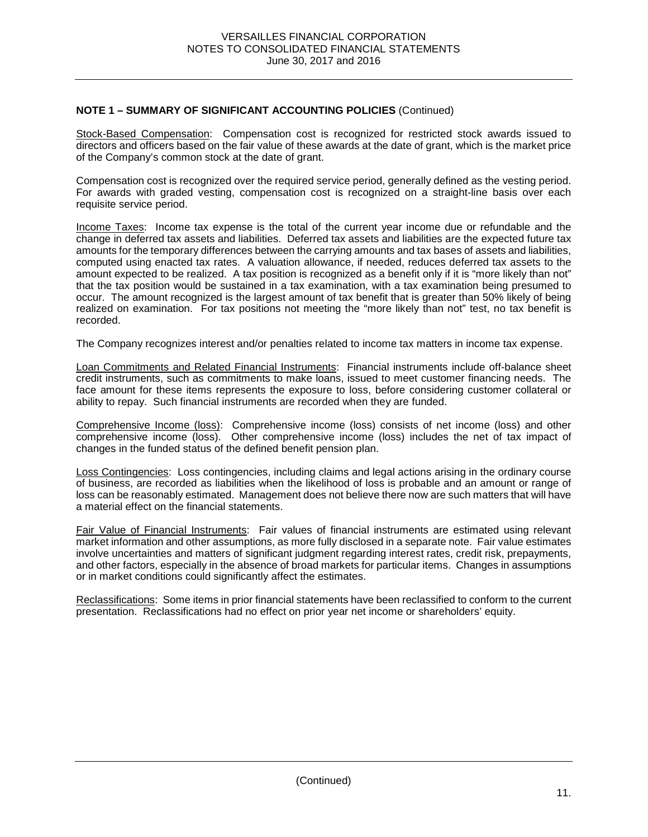Stock-Based Compensation: Compensation cost is recognized for restricted stock awards issued to directors and officers based on the fair value of these awards at the date of grant, which is the market price of the Company's common stock at the date of grant.

Compensation cost is recognized over the required service period, generally defined as the vesting period. For awards with graded vesting, compensation cost is recognized on a straight-line basis over each requisite service period.

Income Taxes: Income tax expense is the total of the current year income due or refundable and the change in deferred tax assets and liabilities. Deferred tax assets and liabilities are the expected future tax amounts for the temporary differences between the carrying amounts and tax bases of assets and liabilities, computed using enacted tax rates. A valuation allowance, if needed, reduces deferred tax assets to the amount expected to be realized. A tax position is recognized as a benefit only if it is "more likely than not" that the tax position would be sustained in a tax examination, with a tax examination being presumed to occur. The amount recognized is the largest amount of tax benefit that is greater than 50% likely of being realized on examination. For tax positions not meeting the "more likely than not" test, no tax benefit is recorded.

The Company recognizes interest and/or penalties related to income tax matters in income tax expense.

Loan Commitments and Related Financial Instruments: Financial instruments include off-balance sheet credit instruments, such as commitments to make loans, issued to meet customer financing needs. The face amount for these items represents the exposure to loss, before considering customer collateral or ability to repay. Such financial instruments are recorded when they are funded.

Comprehensive Income (loss): Comprehensive income (loss) consists of net income (loss) and other comprehensive income (loss). Other comprehensive income (loss) includes the net of tax impact of changes in the funded status of the defined benefit pension plan.

Loss Contingencies: Loss contingencies, including claims and legal actions arising in the ordinary course of business, are recorded as liabilities when the likelihood of loss is probable and an amount or range of loss can be reasonably estimated. Management does not believe there now are such matters that will have a material effect on the financial statements.

Fair Value of Financial Instruments: Fair values of financial instruments are estimated using relevant market information and other assumptions, as more fully disclosed in a separate note. Fair value estimates involve uncertainties and matters of significant judgment regarding interest rates, credit risk, prepayments, and other factors, especially in the absence of broad markets for particular items. Changes in assumptions or in market conditions could significantly affect the estimates.

Reclassifications: Some items in prior financial statements have been reclassified to conform to the current presentation. Reclassifications had no effect on prior year net income or shareholders' equity.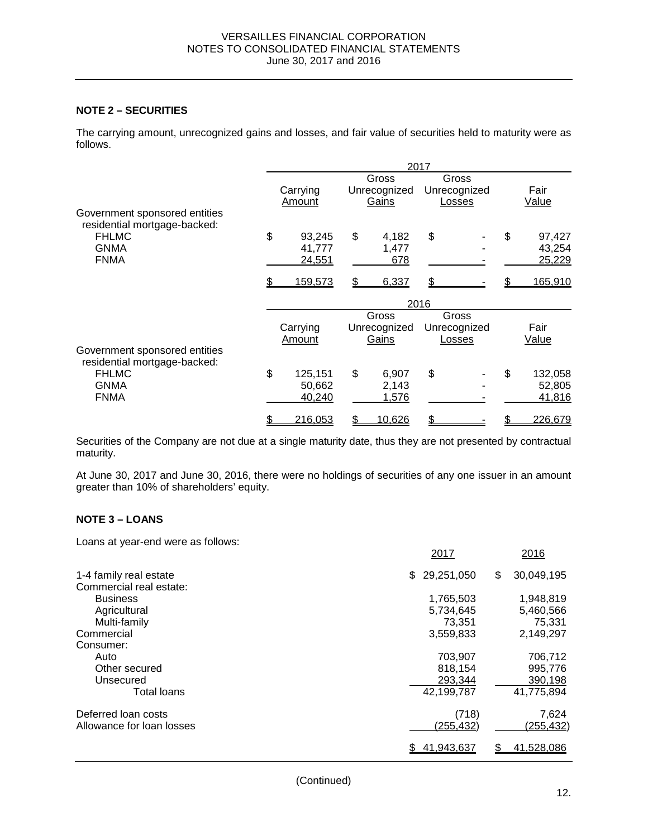# **NOTE 2 – SECURITIES**

The carrying amount, unrecognized gains and losses, and fair value of securities held to maturity were as follows.

|                                                               | 2017 |                |      |              |    |              |    |                 |
|---------------------------------------------------------------|------|----------------|------|--------------|----|--------------|----|-----------------|
|                                                               |      |                |      | Gross        |    | Gross        |    |                 |
|                                                               |      | Carrying       |      | Unrecognized |    | Unrecognized |    | Fair            |
|                                                               |      | Amount         |      | Gains        |    | Losses       |    | <b>Value</b>    |
| Government sponsored entities<br>residential mortgage-backed: |      |                |      |              |    |              |    |                 |
| <b>FHLMC</b>                                                  | \$   | 93,245         | \$   | 4,182        | \$ |              | \$ | 97,427          |
| <b>GNMA</b>                                                   |      | 41,777         |      | 1,477        |    |              |    | 43,254          |
| <b>FNMA</b>                                                   |      | 24,551         |      | 678          |    |              |    | 25,229          |
|                                                               |      | <u>159,573</u> | \$   | 6,337        |    |              |    | <u> 165,910</u> |
|                                                               |      |                | 2016 |              |    |              |    |                 |
|                                                               |      |                |      | Gross        |    | Gross        |    |                 |
|                                                               |      | Carrying       |      | Unrecognized |    | Unrecognized |    | Fair            |
|                                                               |      | Amount         |      | Gains        |    | Losses       |    | <b>Value</b>    |
| Government sponsored entities<br>residential mortgage-backed: |      |                |      |              |    |              |    |                 |
| <b>FHLMC</b>                                                  | \$   | 125,151        | \$   | 6,907        | \$ |              | \$ | 132,058         |
| <b>GNMA</b>                                                   |      | 50,662         |      | 2,143        |    |              |    | 52,805          |
| <b>FNMA</b>                                                   |      | 40,240         |      | 1,576        |    |              |    | 41,816          |
|                                                               |      | 216,053        |      | 10,626       |    |              |    | 226,679         |

Securities of the Company are not due at a single maturity date, thus they are not presented by contractual maturity.

At June 30, 2017 and June 30, 2016, there were no holdings of securities of any one issuer in an amount greater than 10% of shareholders' equity.

#### **NOTE 3 – LOANS**

Loans at year-end were as follows:

|                           | 2017              | 2016             |
|---------------------------|-------------------|------------------|
| 1-4 family real estate    | 29,251,050<br>\$. | 30,049,195<br>\$ |
| Commercial real estate:   |                   |                  |
| <b>Business</b>           | 1,765,503         | 1,948,819        |
| Agricultural              | 5,734,645         | 5,460,566        |
| Multi-family              | 73,351            | 75,331           |
| Commercial                | 3,559,833         | 2,149,297        |
| Consumer:                 |                   |                  |
| Auto                      | 703,907           | 706,712          |
| Other secured             | 818,154           | 995,776          |
| Unsecured                 | 293,344           | 390,198          |
| Total loans               | 42,199,787        | 41,775,894       |
| Deferred loan costs       | (718)             | 7,624            |
| Allowance for loan losses | (255,432)         | (255,432)        |
|                           | 41,943,637<br>\$  | 41,528,086       |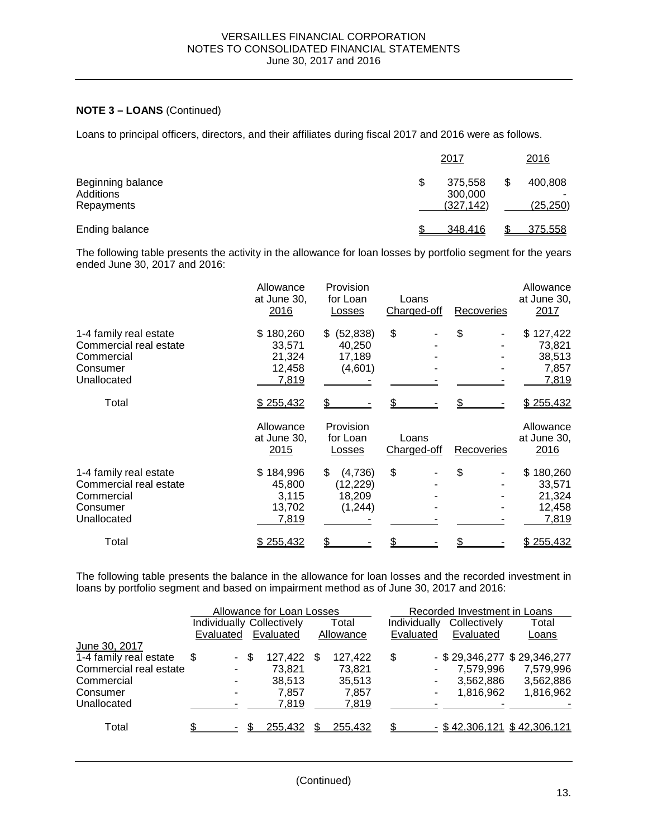# **NOTE 3 – LOANS** (Continued)

Loans to principal officers, directors, and their affiliates during fiscal 2017 and 2016 were as follows.

|                                              | 2017                                   | 2016                 |
|----------------------------------------------|----------------------------------------|----------------------|
| Beginning balance<br>Additions<br>Repayments | \$<br>375,558<br>300,000<br>(327, 142) | 400,808<br>(25, 250) |
| Ending balance                               | 348,416                                | 375,558              |

The following table presents the activity in the allowance for loan losses by portfolio segment for the years ended June 30, 2017 and 2016:

|                                                                                           | Allowance<br>at June 30,<br>2016                 | Provision<br>for Loan<br>Losses                  | Loans<br>Charged-off | Recoveries | Allowance<br>at June 30,<br>2017                 |
|-------------------------------------------------------------------------------------------|--------------------------------------------------|--------------------------------------------------|----------------------|------------|--------------------------------------------------|
| 1-4 family real estate<br>Commercial real estate<br>Commercial<br>Consumer<br>Unallocated | \$180,260<br>33,571<br>21,324<br>12,458<br>7,819 | (52, 838)<br>\$.<br>40,250<br>17,189<br>(4,601)  | \$                   | \$         | \$127,422<br>73,821<br>38,513<br>7,857<br>7,819  |
| Total                                                                                     | \$255,432<br>Allowance<br>at June 30,<br>2015    | Provision<br>for Loan<br>Losses                  | Loans<br>Charged-off | Recoveries | \$255,432<br>Allowance<br>at June 30,<br>2016    |
| 1-4 family real estate<br>Commercial real estate<br>Commercial<br>Consumer<br>Unallocated | \$184,996<br>45,800<br>3,115<br>13,702<br>7,819  | (4,736)<br>\$<br>(12, 229)<br>18,209<br>(1, 244) | \$                   | \$         | \$180,260<br>33,571<br>21,324<br>12,458<br>7,819 |
| Total                                                                                     | \$255,432                                        |                                                  |                      |            | \$255,432                                        |

The following table presents the balance in the allowance for loan losses and the recorded investment in loans by portfolio segment and based on impairment method as of June 30, 2017 and 2016:

|                        |                                  |      | Allowance for Loan Losses |     |           |              | Recorded Investment in Loans |                                 |
|------------------------|----------------------------------|------|---------------------------|-----|-----------|--------------|------------------------------|---------------------------------|
|                        | <b>Individually Collectively</b> |      |                           |     | Total     | Individually | Collectively                 | Total                           |
|                        | Evaluated                        |      | Evaluated                 |     | Allowance | Evaluated    | Evaluated                    | Loans                           |
| June 30, 2017          |                                  |      |                           |     |           |              |                              |                                 |
| 1-4 family real estate | \$.                              | - \$ | 127,422                   | \$. | 127,422   | \$           |                              | $-$ \$ 29,346,277 \$ 29,346,277 |
| Commercial real estate | ۰                                |      | 73.821                    |     | 73,821    |              | 7,579,996                    | 7,579,996                       |
| Commercial             | ۰.                               |      | 38.513                    |     | 35.513    |              | 3,562,886                    | 3,562,886                       |
| Consumer               |                                  |      | 7,857                     |     | 7,857     |              | 1,816,962                    | 1,816,962                       |
| Unallocated            |                                  |      | 7,819                     |     | 7,819     |              |                              |                                 |
| Total                  |                                  |      | 255,432                   |     | 255,432   |              |                              | $-$ \$42,306,121 \$42,306,121   |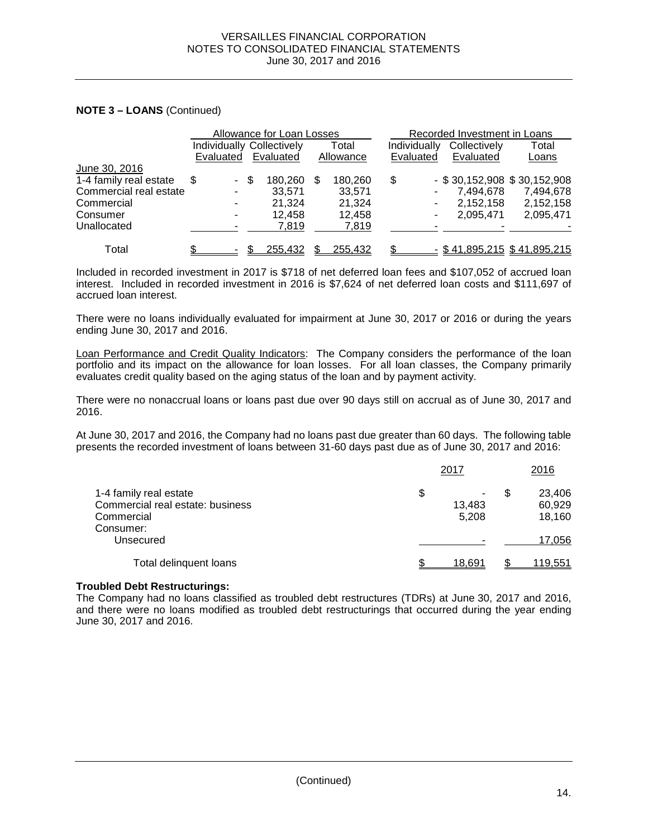### **NOTE 3 – LOANS** (Continued)

|                        |                                  |        |      | Allowance for Loan Losses |   |           |              | Recorded Investment in Loans |                                    |
|------------------------|----------------------------------|--------|------|---------------------------|---|-----------|--------------|------------------------------|------------------------------------|
|                        | <b>Individually Collectively</b> |        |      |                           |   | Total     | Individually | Collectively                 | Total                              |
|                        | Evaluated                        |        |      | Evaluated                 |   | Allowance | Evaluated    | Evaluated                    | Loans                              |
| June 30, 2016          |                                  |        |      |                           |   |           |              |                              |                                    |
| 1-4 family real estate | S                                | $\sim$ | - \$ | 180,260                   | S | 180,260   | \$           |                              | $-$ \$30,152,908 \$30,152,908      |
| Commercial real estate |                                  |        |      | 33.571                    |   | 33.571    |              | 7.494.678                    | 7,494,678                          |
| Commercial             |                                  |        |      | 21.324                    |   | 21.324    |              | 2,152,158                    | 2,152,158                          |
| Consumer               |                                  |        |      | 12.458                    |   | 12.458    |              | 2,095,471                    | 2,095,471                          |
| Unallocated            |                                  |        |      | 7,819                     |   | 7,819     |              |                              |                                    |
| Total                  |                                  |        |      | 255,432                   |   | 255,432   |              |                              | <u>- \$41,895,215 \$41,895,215</u> |

Included in recorded investment in 2017 is \$718 of net deferred loan fees and \$107,052 of accrued loan interest. Included in recorded investment in 2016 is \$7,624 of net deferred loan costs and \$111,697 of accrued loan interest.

There were no loans individually evaluated for impairment at June 30, 2017 or 2016 or during the years ending June 30, 2017 and 2016.

Loan Performance and Credit Quality Indicators: The Company considers the performance of the loan portfolio and its impact on the allowance for loan losses. For all loan classes, the Company primarily evaluates credit quality based on the aging status of the loan and by payment activity.

There were no nonaccrual loans or loans past due over 90 days still on accrual as of June 30, 2017 and 2016.

At June 30, 2017 and 2016, the Company had no loans past due greater than 60 days. The following table presents the recorded investment of loans between 31-60 days past due as of June 30, 2017 and 2016:

|                                  | 2017    | 2016    |
|----------------------------------|---------|---------|
| 1-4 family real estate           | \$<br>۰ | 23,406  |
| Commercial real estate: business | 13,483  | 60,929  |
| Commercial                       | 5.208   | 18,160  |
| Consumer:                        |         |         |
| Unsecured                        |         | 17,056  |
| Total delinquent loans           | 18.691  | 119,551 |

#### **Troubled Debt Restructurings:**

The Company had no loans classified as troubled debt restructures (TDRs) at June 30, 2017 and 2016, and there were no loans modified as troubled debt restructurings that occurred during the year ending June 30, 2017 and 2016.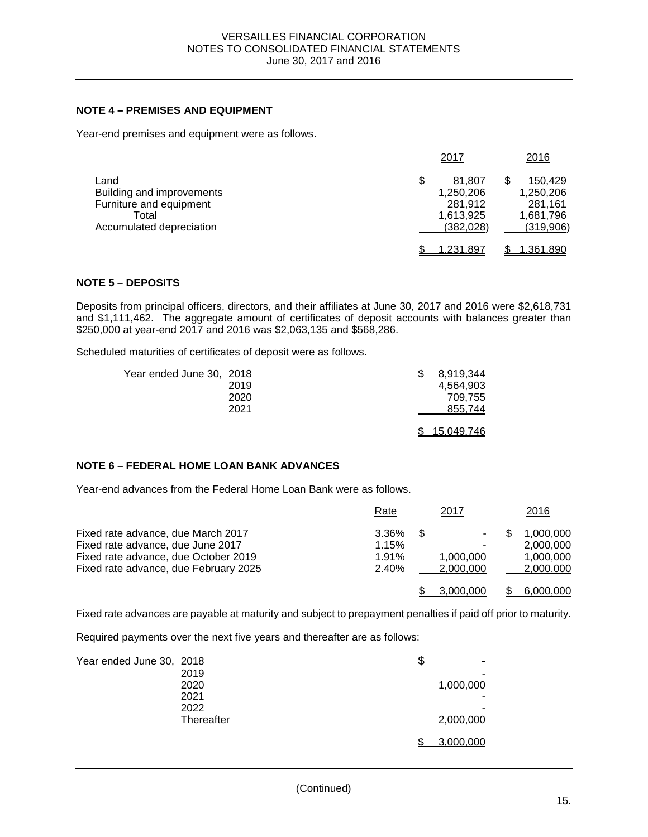### **NOTE 4 – PREMISES AND EQUIPMENT**

Year-end premises and equipment were as follows.

|                                                                                                   | 2017                                                            | 2016                                                      |
|---------------------------------------------------------------------------------------------------|-----------------------------------------------------------------|-----------------------------------------------------------|
| Land<br>Building and improvements<br>Furniture and equipment<br>Total<br>Accumulated depreciation | \$<br>81.807<br>1,250,206<br>281,912<br>1,613,925<br>(382, 028) | 150.429<br>1,250,206<br>281,161<br>1,681,796<br>(319,906) |
|                                                                                                   | 1.231.897                                                       | 1,361,890                                                 |

### **NOTE 5 – DEPOSITS**

Deposits from principal officers, directors, and their affiliates at June 30, 2017 and 2016 were \$2,618,731 and \$1,111,462. The aggregate amount of certificates of deposit accounts with balances greater than \$250,000 at year-end 2017 and 2016 was \$2,063,135 and \$568,286.

Scheduled maturities of certificates of deposit were as follows.

| Year ended June 30, 2018 |      | 8.919.344         |
|--------------------------|------|-------------------|
|                          | 2019 | 4.564.903         |
|                          | 2020 | 709.755           |
|                          | 2021 | 855.744           |
|                          |      |                   |
|                          |      | <u>15,049,746</u> |

# **NOTE 6 – FEDERAL HOME LOAN BANK ADVANCES**

Year-end advances from the Federal Home Loan Bank were as follows.

|                                                                           | Rate           |     | 2017      | <u> 2016</u>           |
|---------------------------------------------------------------------------|----------------|-----|-----------|------------------------|
| Fixed rate advance, due March 2017                                        | $3.36\%$       | \$. | $\sim$    | 1.000.000              |
| Fixed rate advance, due June 2017<br>Fixed rate advance, due October 2019 | 1.15%<br>1.91% |     | 1.000.000 | 2.000.000<br>1,000,000 |
| Fixed rate advance, due February 2025                                     | 2.40%          |     | 2.000.000 | 2,000,000              |
|                                                                           |                |     | 3.000.000 | 6.000.000              |

Fixed rate advances are payable at maturity and subject to prepayment penalties if paid off prior to maturity.

Required payments over the next five years and thereafter are as follows:

| Year ended June 30, 2018 |            | \$<br>٠   |
|--------------------------|------------|-----------|
|                          | 2019       | -         |
|                          | 2020       | 1,000,000 |
|                          | 2021       |           |
|                          | 2022       | -         |
|                          | Thereafter | 2,000,000 |
|                          |            | 3,000,000 |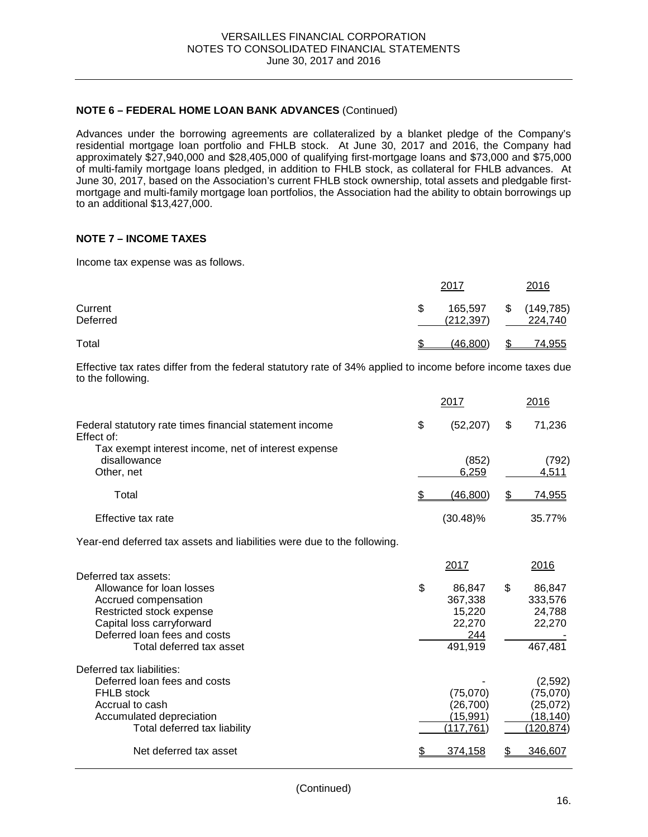### **NOTE 6 – FEDERAL HOME LOAN BANK ADVANCES** (Continued)

Advances under the borrowing agreements are collateralized by a blanket pledge of the Company's residential mortgage loan portfolio and FHLB stock. At June 30, 2017 and 2016, the Company had approximately \$27,940,000 and \$28,405,000 of qualifying first-mortgage loans and \$73,000 and \$75,000 of multi-family mortgage loans pledged, in addition to FHLB stock, as collateral for FHLB advances. At June 30, 2017, based on the Association's current FHLB stock ownership, total assets and pledgable firstmortgage and multi-family mortgage loan portfolios, the Association had the ability to obtain borrowings up to an additional \$13,427,000.

### **NOTE 7 – INCOME TAXES**

Income tax expense was as follows.

|                     |   | 2017                  | 2016                        |
|---------------------|---|-----------------------|-----------------------------|
| Current<br>Deferred | S | 165,597<br>(212, 397) | \$<br>(149, 785)<br>224,740 |
| Total               |   | (46,800)              | 74,955                      |

Effective tax rates differ from the federal statutory rate of 34% applied to income before income taxes due to the following.

|                                                                                                                                                                                                | 2017                                                                  |    | 2016                                                       |
|------------------------------------------------------------------------------------------------------------------------------------------------------------------------------------------------|-----------------------------------------------------------------------|----|------------------------------------------------------------|
| Federal statutory rate times financial statement income<br>Effect of:                                                                                                                          | \$<br>(52, 207)                                                       | \$ | 71,236                                                     |
| Tax exempt interest income, net of interest expense<br>disallowance<br>Other, net                                                                                                              | (852)<br>6,259                                                        |    | (792)<br>4,511                                             |
| Total                                                                                                                                                                                          | (46, 800)                                                             | S  | 74,955                                                     |
| Effective tax rate                                                                                                                                                                             | $(30.48)\%$                                                           |    | 35.77%                                                     |
| Year-end deferred tax assets and liabilities were due to the following.                                                                                                                        |                                                                       |    |                                                            |
| Deferred tax assets:<br>Allowance for loan losses<br>Accrued compensation<br>Restricted stock expense<br>Capital loss carryforward<br>Deferred loan fees and costs<br>Total deferred tax asset | \$<br>2017<br>86,847<br>367,338<br>15,220<br>22,270<br>244<br>491,919 | \$ | 2016<br>86,847<br>333,576<br>24,788<br>22,270<br>467,481   |
| Deferred tax liabilities:<br>Deferred loan fees and costs<br><b>FHLB</b> stock<br>Accrual to cash<br>Accumulated depreciation<br>Total deferred tax liability                                  | (75,070)<br>(26, 700)<br><u>(15,991)</u><br>(117,761)                 |    | (2,592)<br>(75,070)<br>(25,072)<br>(18, 140)<br>(120, 874) |
| Net deferred tax asset                                                                                                                                                                         | \$<br>374,158                                                         |    | 346,607                                                    |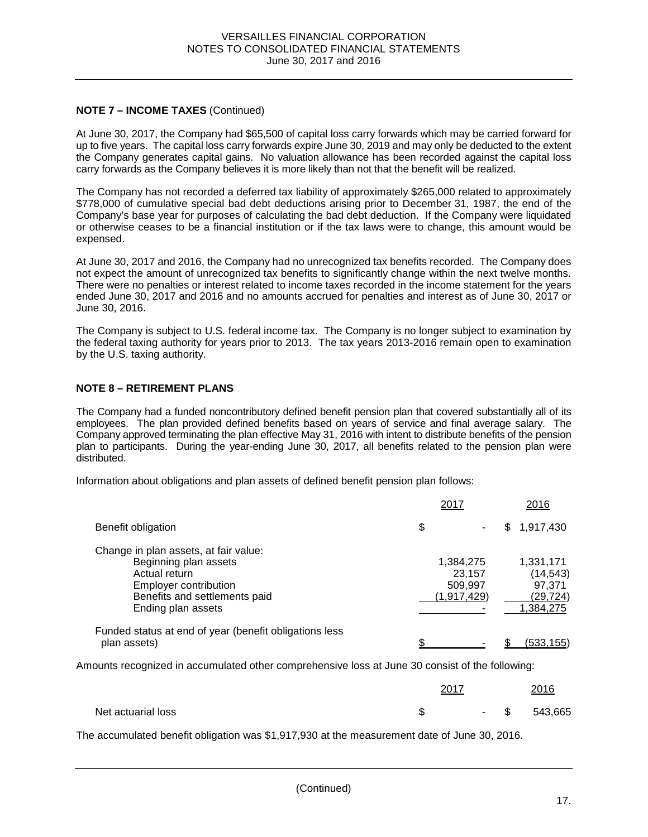# **NOTE 7 – INCOME TAXES** (Continued)

At June 30, 2017, the Company had \$65,500 of capital loss carry forwards which may be carried forward for up to five years. The capital loss carry forwards expire June 30, 2019 and may only be deducted to the extent the Company generates capital gains. No valuation allowance has been recorded against the capital loss carry forwards as the Company believes it is more likely than not that the benefit will be realized.

The Company has not recorded a deferred tax liability of approximately \$265,000 related to approximately \$778,000 of cumulative special bad debt deductions arising prior to December 31, 1987, the end of the Company's base year for purposes of calculating the bad debt deduction. If the Company were liquidated or otherwise ceases to be a financial institution or if the tax laws were to change, this amount would be expensed.

At June 30, 2017 and 2016, the Company had no unrecognized tax benefits recorded. The Company does not expect the amount of unrecognized tax benefits to significantly change within the next twelve months. There were no penalties or interest related to income taxes recorded in the income statement for the years ended June 30, 2017 and 2016 and no amounts accrued for penalties and interest as of June 30, 2017 or June 30, 2016.

The Company is subject to U.S. federal income tax. The Company is no longer subject to examination by the federal taxing authority for years prior to 2013. The tax years 2013-2016 remain open to examination by the U.S. taxing authority.

### **NOTE 8 – RETIREMENT PLANS**

The Company had a funded noncontributory defined benefit pension plan that covered substantially all of its employees. The plan provided defined benefits based on years of service and final average salary. The Company approved terminating the plan effective May 31, 2016 with intent to distribute benefits of the pension plan to participants. During the year-ending June 30, 2017, all benefits related to the pension plan were distributed.

Information about obligations and plan assets of defined benefit pension plan follows:

|                                                                                                                                                                        | 2017                                          | 2016                                                      |
|------------------------------------------------------------------------------------------------------------------------------------------------------------------------|-----------------------------------------------|-----------------------------------------------------------|
| Benefit obligation                                                                                                                                                     | \$<br>٠                                       | 1,917,430<br>\$                                           |
| Change in plan assets, at fair value:<br>Beginning plan assets<br>Actual return<br><b>Employer contribution</b><br>Benefits and settlements paid<br>Ending plan assets | 1,384,275<br>23.157<br>509,997<br>(1,917,429) | 1,331,171<br>(14, 543)<br>97,371<br>(29,724)<br>1.384.275 |
| Funded status at end of year (benefit obligations less<br>plan assets)                                                                                                 |                                               | (533,155)                                                 |

Amounts recognized in accumulated other comprehensive loss at June 30 consist of the following:

|                    | 2017 |        | 2016    |
|--------------------|------|--------|---------|
| Net actuarial loss | ъD   | $-$ \$ | 543,665 |

The accumulated benefit obligation was \$1,917,930 at the measurement date of June 30, 2016.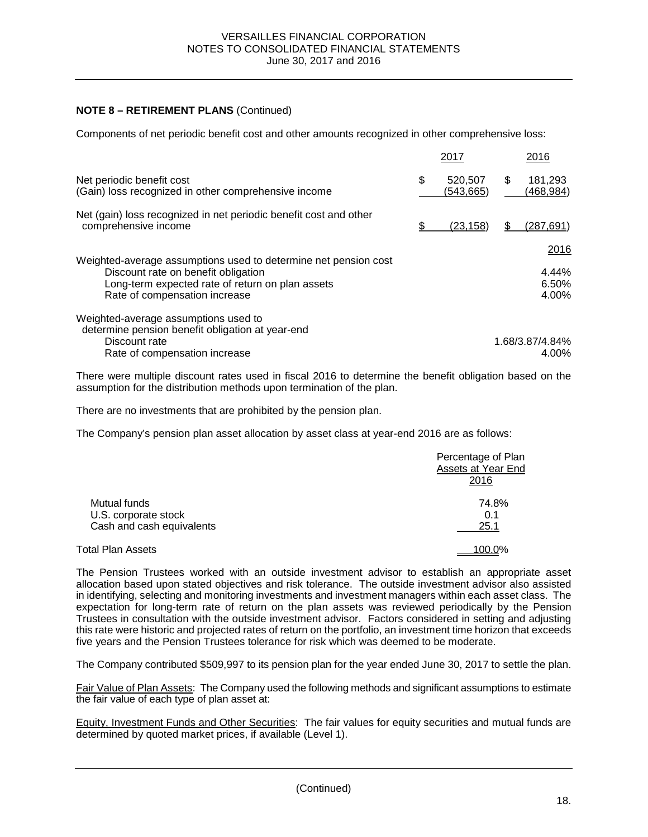### **NOTE 8 – RETIREMENT PLANS** (Continued)

Components of net periodic benefit cost and other amounts recognized in other comprehensive loss:

|                                                                                                                                                                                             | 2017                        | 2016                            |
|---------------------------------------------------------------------------------------------------------------------------------------------------------------------------------------------|-----------------------------|---------------------------------|
| Net periodic benefit cost<br>(Gain) loss recognized in other comprehensive income                                                                                                           | \$<br>520,507<br>(543, 665) | 181,293<br>\$.<br>(468,984)     |
| Net (gain) loss recognized in net periodic benefit cost and other<br>comprehensive income                                                                                                   | <u>(23,158)</u>             | (287, 691)                      |
| Weighted-average assumptions used to determine net pension cost<br>Discount rate on benefit obligation<br>Long-term expected rate of return on plan assets<br>Rate of compensation increase |                             | 2016<br>4.44%<br>6.50%<br>4.00% |
| Weighted-average assumptions used to<br>determine pension benefit obligation at year-end<br>Discount rate<br>Rate of compensation increase                                                  |                             | 1.68/3.87/4.84%<br>4.00%        |

There were multiple discount rates used in fiscal 2016 to determine the benefit obligation based on the assumption for the distribution methods upon termination of the plan.

There are no investments that are prohibited by the pension plan.

The Company's pension plan asset allocation by asset class at year-end 2016 are as follows:

|                                                                   | Percentage of Plan<br>Assets at Year End<br>2016 |
|-------------------------------------------------------------------|--------------------------------------------------|
| Mutual funds<br>U.S. corporate stock<br>Cash and cash equivalents | 74.8%<br>0.1<br>25.1                             |
| Total Plan Assets                                                 | 100.0%                                           |

The Pension Trustees worked with an outside investment advisor to establish an appropriate asset allocation based upon stated objectives and risk tolerance. The outside investment advisor also assisted in identifying, selecting and monitoring investments and investment managers within each asset class. The expectation for long-term rate of return on the plan assets was reviewed periodically by the Pension Trustees in consultation with the outside investment advisor. Factors considered in setting and adjusting this rate were historic and projected rates of return on the portfolio, an investment time horizon that exceeds five years and the Pension Trustees tolerance for risk which was deemed to be moderate.

The Company contributed \$509,997 to its pension plan for the year ended June 30, 2017 to settle the plan.

Fair Value of Plan Assets: The Company used the following methods and significant assumptions to estimate the fair value of each type of plan asset at:

Equity, Investment Funds and Other Securities: The fair values for equity securities and mutual funds are determined by quoted market prices, if available (Level 1).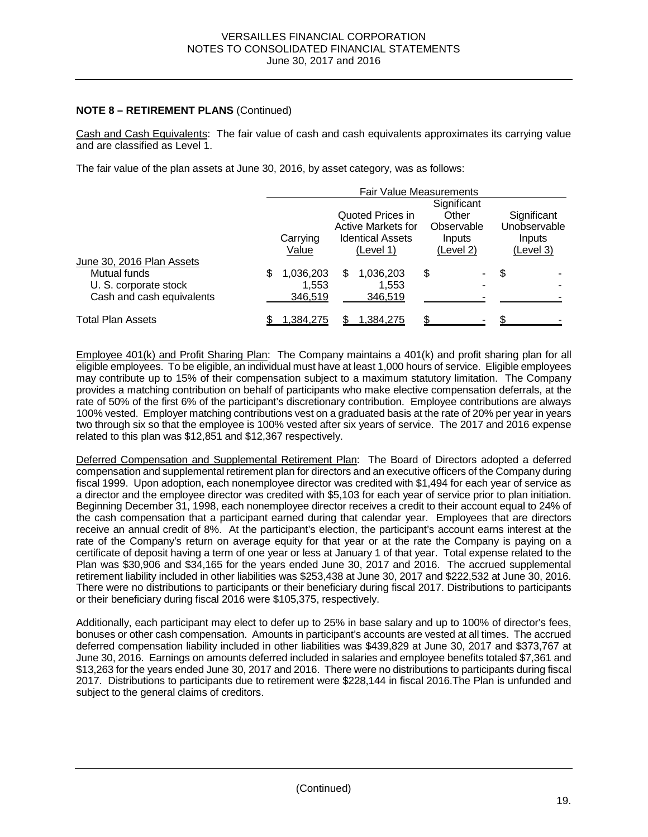### **NOTE 8 – RETIREMENT PLANS** (Continued)

Cash and Cash Equivalents: The fair value of cash and cash equivalents approximates its carrying value and are classified as Level 1.

The fair value of the plan assets at June 30, 2016, by asset category, was as follows:

|                           |                                 | <b>Fair Value Measurements</b> |                                          |                    |    |            |             |              |
|---------------------------|---------------------------------|--------------------------------|------------------------------------------|--------------------|----|------------|-------------|--------------|
|                           |                                 |                                | Significant<br>Quoted Prices in<br>Other |                    |    |            | Significant |              |
|                           |                                 |                                |                                          | Active Markets for |    | Observable |             | Unobservable |
|                           |                                 | Carrying                       | <b>Identical Assets</b><br>Inputs        |                    |    |            | Inputs      |              |
|                           | Value<br>(Level 2)<br>(Level 1) |                                |                                          |                    |    |            | (Level 3)   |              |
| June 30, 2016 Plan Assets |                                 |                                |                                          |                    |    |            |             |              |
| Mutual funds              | S                               | 1,036,203                      | S                                        | 1,036,203          | \$ | ۰.         | S           |              |
| U. S. corporate stock     |                                 | 1.553                          |                                          | 1,553              |    |            |             |              |
| Cash and cash equivalents |                                 | 346,519                        |                                          | 346,519            |    |            |             |              |
| <b>Total Plan Assets</b>  |                                 | 1.384.275                      |                                          | 1.384.275          |    |            |             |              |

Employee 401(k) and Profit Sharing Plan: The Company maintains a 401(k) and profit sharing plan for all eligible employees. To be eligible, an individual must have at least 1,000 hours of service. Eligible employees may contribute up to 15% of their compensation subject to a maximum statutory limitation. The Company provides a matching contribution on behalf of participants who make elective compensation deferrals, at the rate of 50% of the first 6% of the participant's discretionary contribution. Employee contributions are always 100% vested. Employer matching contributions vest on a graduated basis at the rate of 20% per year in years two through six so that the employee is 100% vested after six years of service. The 2017 and 2016 expense related to this plan was \$12,851 and \$12,367 respectively.

Deferred Compensation and Supplemental Retirement Plan: The Board of Directors adopted a deferred compensation and supplemental retirement plan for directors and an executive officers of the Company during fiscal 1999. Upon adoption, each nonemployee director was credited with \$1,494 for each year of service as a director and the employee director was credited with \$5,103 for each year of service prior to plan initiation. Beginning December 31, 1998, each nonemployee director receives a credit to their account equal to 24% of the cash compensation that a participant earned during that calendar year. Employees that are directors receive an annual credit of 8%. At the participant's election, the participant's account earns interest at the rate of the Company's return on average equity for that year or at the rate the Company is paying on a certificate of deposit having a term of one year or less at January 1 of that year. Total expense related to the Plan was \$30,906 and \$34,165 for the years ended June 30, 2017 and 2016. The accrued supplemental retirement liability included in other liabilities was \$253,438 at June 30, 2017 and \$222,532 at June 30, 2016. There were no distributions to participants or their beneficiary during fiscal 2017. Distributions to participants or their beneficiary during fiscal 2016 were \$105,375, respectively.

Additionally, each participant may elect to defer up to 25% in base salary and up to 100% of director's fees, bonuses or other cash compensation. Amounts in participant's accounts are vested at all times. The accrued deferred compensation liability included in other liabilities was \$439,829 at June 30, 2017 and \$373,767 at June 30, 2016. Earnings on amounts deferred included in salaries and employee benefits totaled \$7,361 and \$13,263 for the years ended June 30, 2017 and 2016. There were no distributions to participants during fiscal 2017. Distributions to participants due to retirement were \$228,144 in fiscal 2016.The Plan is unfunded and subject to the general claims of creditors.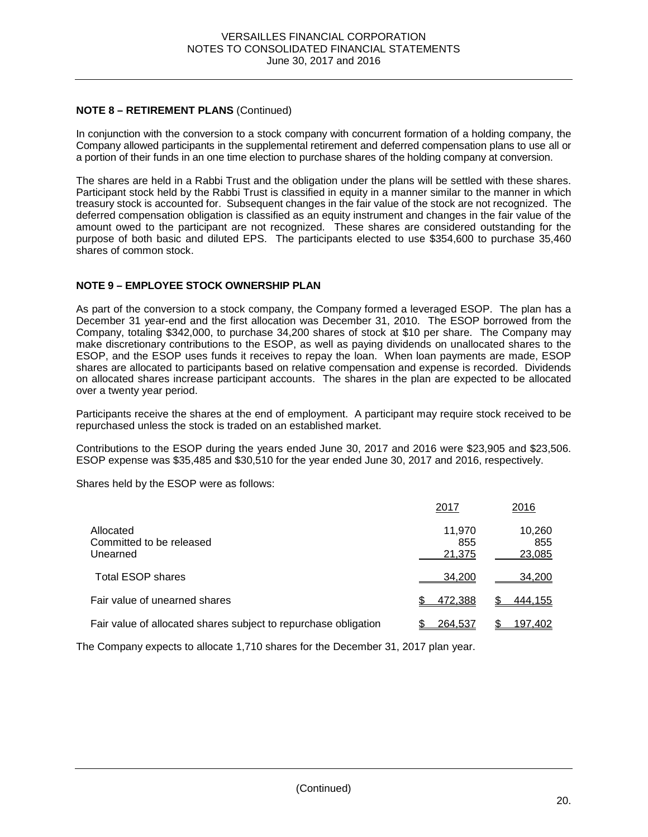# **NOTE 8 – RETIREMENT PLANS** (Continued)

In conjunction with the conversion to a stock company with concurrent formation of a holding company, the Company allowed participants in the supplemental retirement and deferred compensation plans to use all or a portion of their funds in an one time election to purchase shares of the holding company at conversion.

The shares are held in a Rabbi Trust and the obligation under the plans will be settled with these shares. Participant stock held by the Rabbi Trust is classified in equity in a manner similar to the manner in which treasury stock is accounted for. Subsequent changes in the fair value of the stock are not recognized. The deferred compensation obligation is classified as an equity instrument and changes in the fair value of the amount owed to the participant are not recognized. These shares are considered outstanding for the purpose of both basic and diluted EPS. The participants elected to use \$354,600 to purchase 35,460 shares of common stock.

# **NOTE 9 – EMPLOYEE STOCK OWNERSHIP PLAN**

As part of the conversion to a stock company, the Company formed a leveraged ESOP. The plan has a December 31 year-end and the first allocation was December 31, 2010. The ESOP borrowed from the Company, totaling \$342,000, to purchase 34,200 shares of stock at \$10 per share. The Company may make discretionary contributions to the ESOP, as well as paying dividends on unallocated shares to the ESOP, and the ESOP uses funds it receives to repay the loan. When loan payments are made, ESOP shares are allocated to participants based on relative compensation and expense is recorded. Dividends on allocated shares increase participant accounts. The shares in the plan are expected to be allocated over a twenty year period.

Participants receive the shares at the end of employment. A participant may require stock received to be repurchased unless the stock is traded on an established market.

Contributions to the ESOP during the years ended June 30, 2017 and 2016 were \$23,905 and \$23,506. ESOP expense was \$35,485 and \$30,510 for the year ended June 30, 2017 and 2016, respectively.

Shares held by the ESOP were as follows:

|                                                                 | 2017                    | 2016                    |
|-----------------------------------------------------------------|-------------------------|-------------------------|
| Allocated<br>Committed to be released<br>Unearned               | 11,970<br>855<br>21,375 | 10,260<br>855<br>23,085 |
| <b>Total ESOP shares</b>                                        | 34.200                  | 34,200                  |
| Fair value of unearned shares                                   | 472,388                 | 444,155                 |
| Fair value of allocated shares subject to repurchase obligation | 264,537                 | 197,402                 |

The Company expects to allocate 1,710 shares for the December 31, 2017 plan year.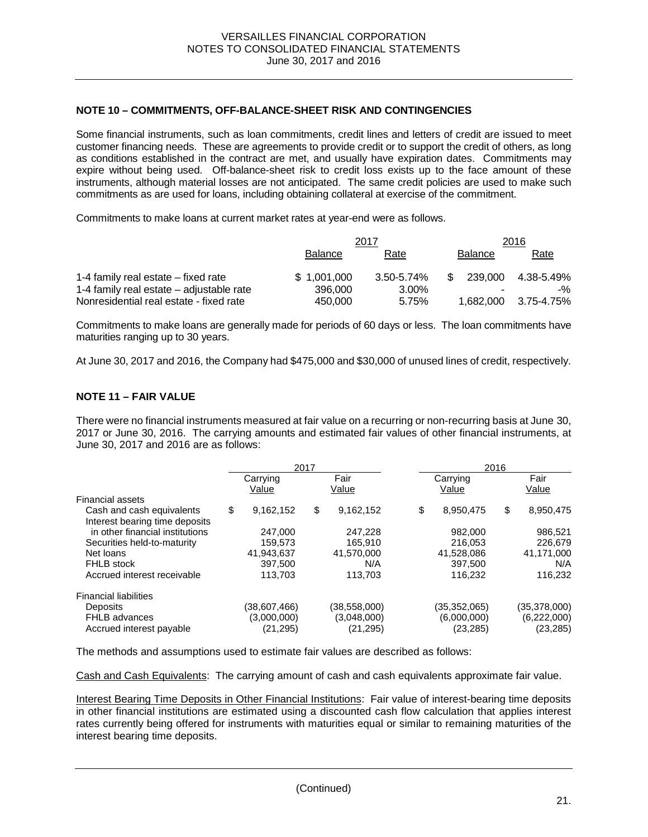#### **NOTE 10 – COMMITMENTS, OFF-BALANCE-SHEET RISK AND CONTINGENCIES**

Some financial instruments, such as loan commitments, credit lines and letters of credit are issued to meet customer financing needs. These are agreements to provide credit or to support the credit of others, as long as conditions established in the contract are met, and usually have expiration dates. Commitments may expire without being used. Off-balance-sheet risk to credit loss exists up to the face amount of these instruments, although material losses are not anticipated. The same credit policies are used to make such commitments as are used for loans, including obtaining collateral at exercise of the commitment.

Commitments to make loans at current market rates at year-end were as follows.

|                                          |                | 2017       | 2016           |            |  |
|------------------------------------------|----------------|------------|----------------|------------|--|
|                                          | <b>Balance</b> | Rate       | <b>Balance</b> | Rate       |  |
| 1-4 family real estate – fixed rate      | \$1,001,000    | 3.50-5.74% | 239.000<br>\$  | 4.38-5.49% |  |
| 1-4 family real estate – adjustable rate | 396,000        | 3.00%      |                | $-$ %      |  |
| Nonresidential real estate - fixed rate  | 450.000        | 5.75%      | 1.682.000      | 3.75-4.75% |  |

Commitments to make loans are generally made for periods of 60 days or less. The loan commitments have maturities ranging up to 30 years.

At June 30, 2017 and 2016, the Company had \$475,000 and \$30,000 of unused lines of credit, respectively.

#### **NOTE 11 – FAIR VALUE**

There were no financial instruments measured at fair value on a recurring or non-recurring basis at June 30, 2017 or June 30, 2016. The carrying amounts and estimated fair values of other financial instruments, at June 30, 2017 and 2016 are as follows:

|                                                                                        | 2017 |                                          | 2016                                      |    |                                          |                                          |
|----------------------------------------------------------------------------------------|------|------------------------------------------|-------------------------------------------|----|------------------------------------------|------------------------------------------|
|                                                                                        |      | Carrying<br>Value                        | Fair<br>Value                             |    | Carrying<br>Value                        | Fair<br>Value                            |
| <b>Financial assets</b><br>Cash and cash equivalents<br>Interest bearing time deposits | \$   | 9,162,152                                | \$<br>9,162,152                           | \$ | 8,950,475                                | \$<br>8,950,475                          |
| in other financial institutions<br>Securities held-to-maturity                         |      | 247.000<br>159.573                       | 247,228<br>165.910                        |    | 982,000<br>216.053                       | 986,521<br>226.679                       |
| Net loans                                                                              |      | 41,943,637                               | 41,570,000                                |    | 41,528,086                               | 41,171,000                               |
| <b>FHLB</b> stock<br>Accrued interest receivable                                       |      | 397.500<br>113.703                       | N/A<br>113.703                            |    | 397.500<br>116.232                       | N/A<br>116,232                           |
| <b>Financial liabilities</b>                                                           |      |                                          |                                           |    |                                          |                                          |
| <b>Deposits</b><br><b>FHLB</b> advances<br>Accrued interest payable                    |      | (38,607,466)<br>(3,000,000)<br>(21, 295) | (38, 558, 000)<br>(3,048,000)<br>(21,295) |    | (35,352,065)<br>(6,000,000)<br>(23, 285) | (35,378,000)<br>(6,222,000)<br>(23, 285) |

The methods and assumptions used to estimate fair values are described as follows:

Cash and Cash Equivalents: The carrying amount of cash and cash equivalents approximate fair value.

Interest Bearing Time Deposits in Other Financial Institutions: Fair value of interest-bearing time deposits in other financial institutions are estimated using a discounted cash flow calculation that applies interest rates currently being offered for instruments with maturities equal or similar to remaining maturities of the interest bearing time deposits.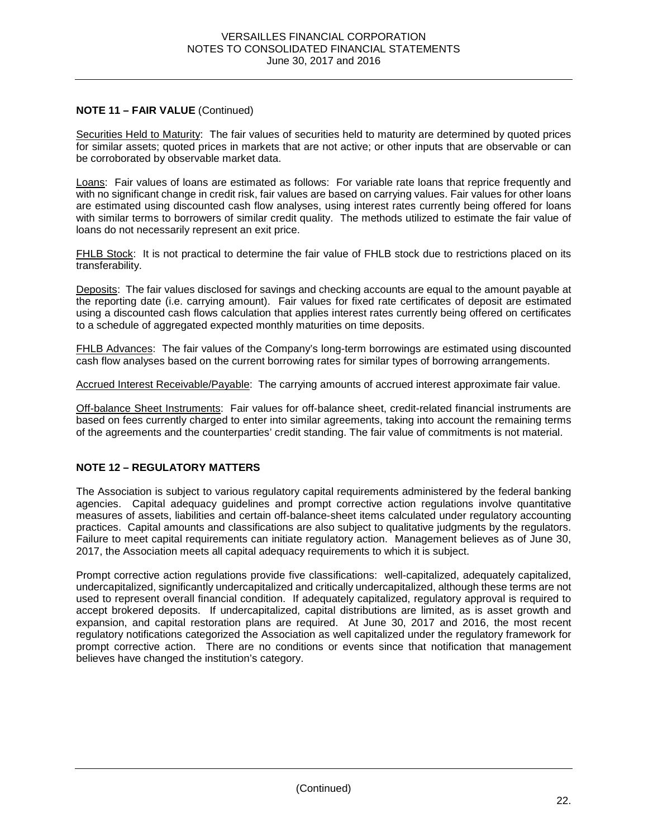# **NOTE 11 – FAIR VALUE** (Continued)

Securities Held to Maturity: The fair values of securities held to maturity are determined by quoted prices for similar assets; quoted prices in markets that are not active; or other inputs that are observable or can be corroborated by observable market data.

Loans: Fair values of loans are estimated as follows: For variable rate loans that reprice frequently and with no significant change in credit risk, fair values are based on carrying values. Fair values for other loans are estimated using discounted cash flow analyses, using interest rates currently being offered for loans with similar terms to borrowers of similar credit quality. The methods utilized to estimate the fair value of loans do not necessarily represent an exit price.

FHLB Stock: It is not practical to determine the fair value of FHLB stock due to restrictions placed on its transferability.

Deposits: The fair values disclosed for savings and checking accounts are equal to the amount payable at the reporting date (i.e. carrying amount). Fair values for fixed rate certificates of deposit are estimated using a discounted cash flows calculation that applies interest rates currently being offered on certificates to a schedule of aggregated expected monthly maturities on time deposits.

FHLB Advances: The fair values of the Company's long-term borrowings are estimated using discounted cash flow analyses based on the current borrowing rates for similar types of borrowing arrangements.

Accrued Interest Receivable/Payable: The carrying amounts of accrued interest approximate fair value.

Off-balance Sheet Instruments: Fair values for off-balance sheet, credit-related financial instruments are based on fees currently charged to enter into similar agreements, taking into account the remaining terms of the agreements and the counterparties' credit standing. The fair value of commitments is not material.

# **NOTE 12 – REGULATORY MATTERS**

The Association is subject to various regulatory capital requirements administered by the federal banking agencies. Capital adequacy guidelines and prompt corrective action regulations involve quantitative measures of assets, liabilities and certain off-balance-sheet items calculated under regulatory accounting practices. Capital amounts and classifications are also subject to qualitative judgments by the regulators. Failure to meet capital requirements can initiate regulatory action. Management believes as of June 30, 2017, the Association meets all capital adequacy requirements to which it is subject.

Prompt corrective action regulations provide five classifications: well-capitalized, adequately capitalized, undercapitalized, significantly undercapitalized and critically undercapitalized, although these terms are not used to represent overall financial condition. If adequately capitalized, regulatory approval is required to accept brokered deposits. If undercapitalized, capital distributions are limited, as is asset growth and expansion, and capital restoration plans are required. At June 30, 2017 and 2016, the most recent regulatory notifications categorized the Association as well capitalized under the regulatory framework for prompt corrective action. There are no conditions or events since that notification that management believes have changed the institution's category.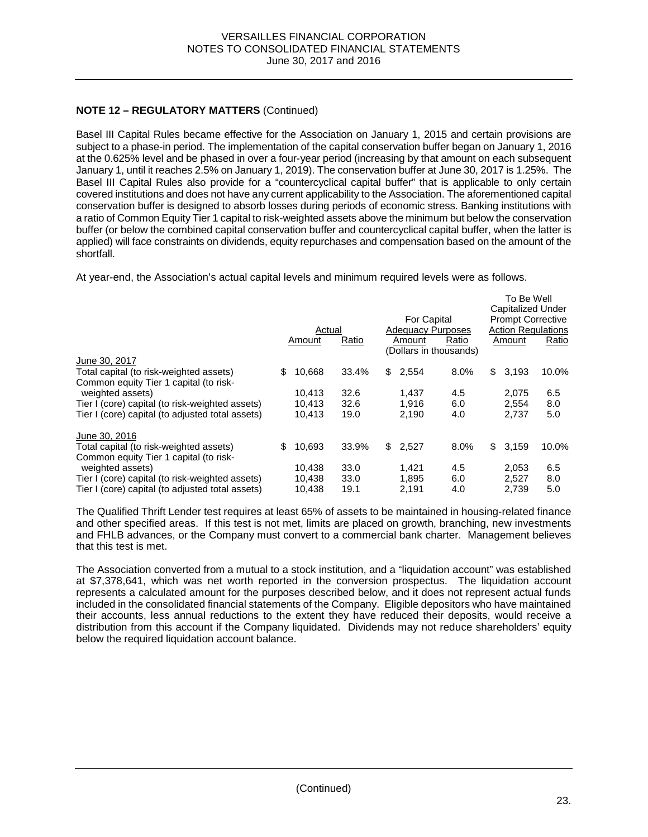# **NOTE 12 – REGULATORY MATTERS** (Continued)

Basel III Capital Rules became effective for the Association on January 1, 2015 and certain provisions are subject to a phase-in period. The implementation of the capital conservation buffer began on January 1, 2016 at the 0.625% level and be phased in over a four-year period (increasing by that amount on each subsequent January 1, until it reaches 2.5% on January 1, 2019). The conservation buffer at June 30, 2017 is 1.25%. The Basel III Capital Rules also provide for a "countercyclical capital buffer" that is applicable to only certain covered institutions and does not have any current applicability to the Association. The aforementioned capital conservation buffer is designed to absorb losses during periods of economic stress. Banking institutions with a ratio of Common Equity Tier 1 capital to risk-weighted assets above the minimum but below the conservation buffer (or below the combined capital conservation buffer and countercyclical capital buffer, when the latter is applied) will face constraints on dividends, equity repurchases and compensation based on the amount of the shortfall.

At year-end, the Association's actual capital levels and minimum required levels were as follows.

| For Capital<br><b>Adequacy Purposes</b><br>Actual<br>Ratio<br>Ratio<br>Amount<br>Amount<br>(Dollars in thousands) | Capitalized Under<br><b>Prompt Corrective</b><br><b>Action Regulations</b><br>Amount | Ratio |
|-------------------------------------------------------------------------------------------------------------------|--------------------------------------------------------------------------------------|-------|
| June 30, 2017                                                                                                     |                                                                                      |       |
| \$<br>10,668<br>33.4%<br>\$2,554<br>8.0%<br>Total capital (to risk-weighted assets)                               | \$3,193                                                                              | 10.0% |
| Common equity Tier 1 capital (to risk-                                                                            |                                                                                      |       |
| weighted assets)<br>10.413<br>32.6<br>1,437<br>4.5                                                                | 2,075                                                                                | 6.5   |
| 32.6<br>1.916<br>6.0<br>Tier I (core) capital (to risk-weighted assets)<br>10.413                                 | 2.554                                                                                | 8.0   |
| 19.0<br>Tier I (core) capital (to adjusted total assets)<br>2,190<br>4.0<br>10,413                                | 2,737                                                                                | 5.0   |
| June 30, 2016                                                                                                     |                                                                                      |       |
| \$<br>10.693<br>2.527<br>33.9%<br>\$<br>\$<br>Total capital (to risk-weighted assets)<br>8.0%                     | 3.159                                                                                | 10.0% |
| Common equity Tier 1 capital (to risk-                                                                            |                                                                                      |       |
| weighted assets)<br>10.438<br>33.0<br>1.421<br>4.5                                                                | 2,053                                                                                | 6.5   |
| 33.0<br>Tier I (core) capital (to risk-weighted assets)<br>10.438<br>1.895<br>6.0                                 | 2.527                                                                                | 8.0   |
| 10,438<br>19.1<br>2.191<br>4.0<br>Tier I (core) capital (to adjusted total assets)                                | 2,739                                                                                | 5.0   |

The Qualified Thrift Lender test requires at least 65% of assets to be maintained in housing-related finance and other specified areas. If this test is not met, limits are placed on growth, branching, new investments and FHLB advances, or the Company must convert to a commercial bank charter. Management believes that this test is met.

The Association converted from a mutual to a stock institution, and a "liquidation account" was established at \$7,378,641, which was net worth reported in the conversion prospectus. The liquidation account represents a calculated amount for the purposes described below, and it does not represent actual funds included in the consolidated financial statements of the Company. Eligible depositors who have maintained their accounts, less annual reductions to the extent they have reduced their deposits, would receive a distribution from this account if the Company liquidated. Dividends may not reduce shareholders' equity below the required liquidation account balance.

 $T_0$  Be Well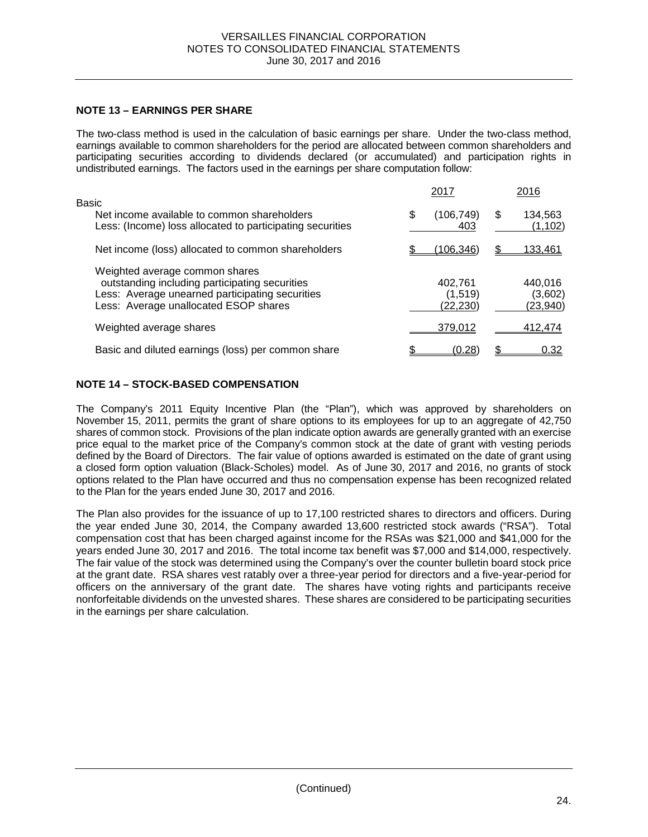### **NOTE 13 – EARNINGS PER SHARE**

The two-class method is used in the calculation of basic earnings per share. Under the two-class method, earnings available to common shareholders for the period are allocated between common shareholders and participating securities according to dividends declared (or accumulated) and participation rights in undistributed earnings. The factors used in the earnings per share computation follow:

|                                                                                                                                                                              |   | 2017                           |   | 2016                           |
|------------------------------------------------------------------------------------------------------------------------------------------------------------------------------|---|--------------------------------|---|--------------------------------|
| Basic<br>Net income available to common shareholders<br>Less: (Income) loss allocated to participating securities                                                            | S | (106,749)<br>403               | S | 134,563<br>(1, 102)            |
| Net income (loss) allocated to common shareholders                                                                                                                           |   | (106.346)                      |   | <u>133,461</u>                 |
| Weighted average common shares<br>outstanding including participating securities<br>Less: Average unearned participating securities<br>Less: Average unallocated ESOP shares |   | 402,761<br>(1,519)<br>(22,230) |   | 440,016<br>(3,602)<br>(23,940) |
| Weighted average shares                                                                                                                                                      |   | 379,012                        |   | 412,474                        |
| Basic and diluted earnings (loss) per common share                                                                                                                           |   | (0.28)                         |   | 0.32                           |

### **NOTE 14 – STOCK-BASED COMPENSATION**

The Company's 2011 Equity Incentive Plan (the "Plan"), which was approved by shareholders on November 15, 2011, permits the grant of share options to its employees for up to an aggregate of 42,750 shares of common stock. Provisions of the plan indicate option awards are generally granted with an exercise price equal to the market price of the Company's common stock at the date of grant with vesting periods defined by the Board of Directors. The fair value of options awarded is estimated on the date of grant using a closed form option valuation (Black-Scholes) model. As of June 30, 2017 and 2016, no grants of stock options related to the Plan have occurred and thus no compensation expense has been recognized related to the Plan for the years ended June 30, 2017 and 2016.

The Plan also provides for the issuance of up to 17,100 restricted shares to directors and officers. During the year ended June 30, 2014, the Company awarded 13,600 restricted stock awards ("RSA"). Total compensation cost that has been charged against income for the RSAs was \$21,000 and \$41,000 for the years ended June 30, 2017 and 2016. The total income tax benefit was \$7,000 and \$14,000, respectively. The fair value of the stock was determined using the Company's over the counter bulletin board stock price at the grant date. RSA shares vest ratably over a three-year period for directors and a five-year-period for officers on the anniversary of the grant date. The shares have voting rights and participants receive nonforfeitable dividends on the unvested shares. These shares are considered to be participating securities in the earnings per share calculation.